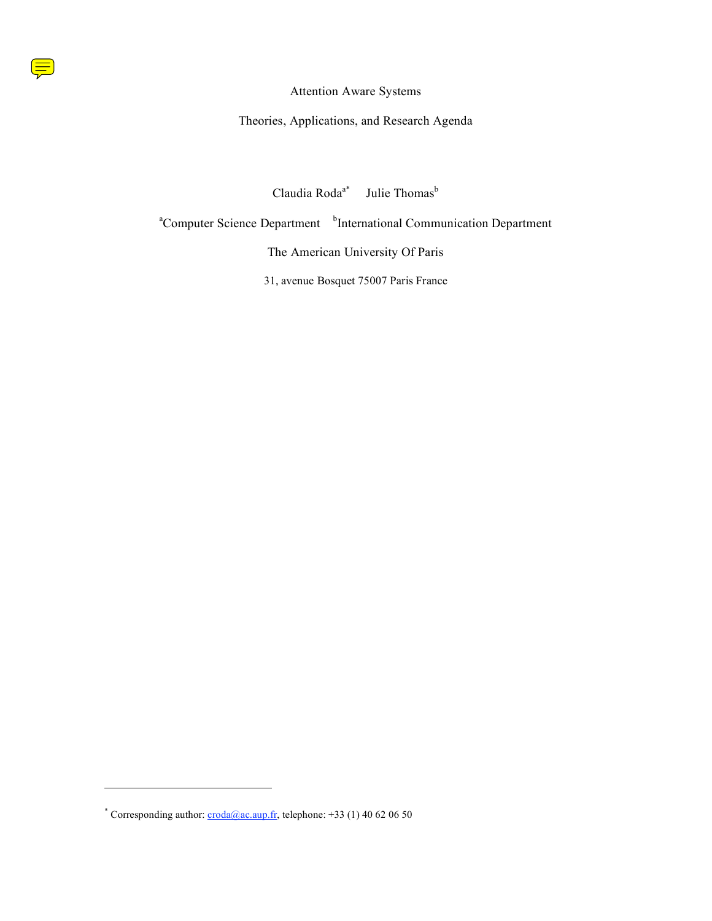

Attention Aware Systems

Theories, Applications, and Research Agenda

Claudia Roda Julie Thomas<sup>b</sup>

<sup>a</sup>Computer Science Department <sup>b</sup>International Communication Department

The American University Of Paris

31, avenue Bosquet 75007 Paris France

l

<sup>\*</sup> Corresponding author:  $\frac{\text{croada}(\overline{a})\text{ac. aup.fr}}{\text{cm} \cdot \text{cm} \cdot \text{cm} \cdot \text{cm} \cdot \text{cm} \cdot \text{cm} \cdot \text{cm} \cdot \text{cm} \cdot \text{cm} \cdot \text{cm} \cdot \text{cm} \cdot \text{cm} \cdot \text{cm} \cdot \text{cm} \cdot \text{cm} \cdot \text{cm} \cdot \text{cm} \cdot \text{cm} \cdot \text{cm} \cdot \text{cm} \cdot \text{cm} \cdot \text{cm} \cdot \text{cm} \cdot \text{cm} \cdot \text{cm$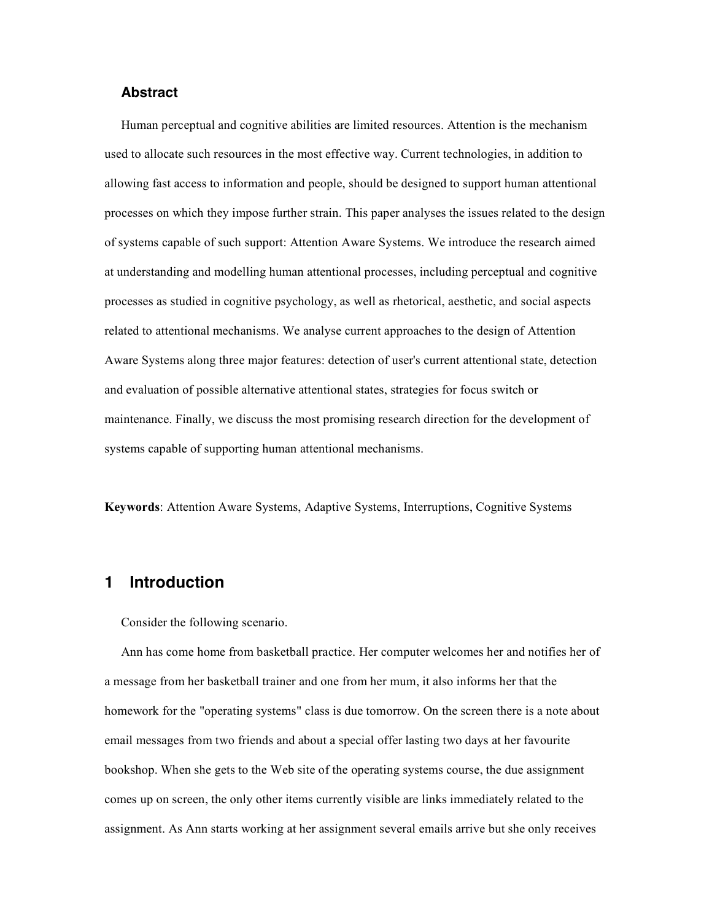# **Abstract**

Human perceptual and cognitive abilities are limited resources. Attention is the mechanism used to allocate such resources in the most effective way. Current technologies, in addition to allowing fast access to information and people, should be designed to support human attentional processes on which they impose further strain. This paper analyses the issues related to the design of systems capable of such support: Attention Aware Systems. We introduce the research aimed at understanding and modelling human attentional processes, including perceptual and cognitive processes as studied in cognitive psychology, as well as rhetorical, aesthetic, and social aspects related to attentional mechanisms. We analyse current approaches to the design of Attention Aware Systems along three major features: detection of user's current attentional state, detection and evaluation of possible alternative attentional states, strategies for focus switch or maintenance. Finally, we discuss the most promising research direction for the development of systems capable of supporting human attentional mechanisms.

**Keywords**: Attention Aware Systems, Adaptive Systems, Interruptions, Cognitive Systems

# **1 Introduction**

Consider the following scenario.

Ann has come home from basketball practice. Her computer welcomes her and notifies her of a message from her basketball trainer and one from her mum, it also informs her that the homework for the "operating systems" class is due tomorrow. On the screen there is a note about email messages from two friends and about a special offer lasting two days at her favourite bookshop. When she gets to the Web site of the operating systems course, the due assignment comes up on screen, the only other items currently visible are links immediately related to the assignment. As Ann starts working at her assignment several emails arrive but she only receives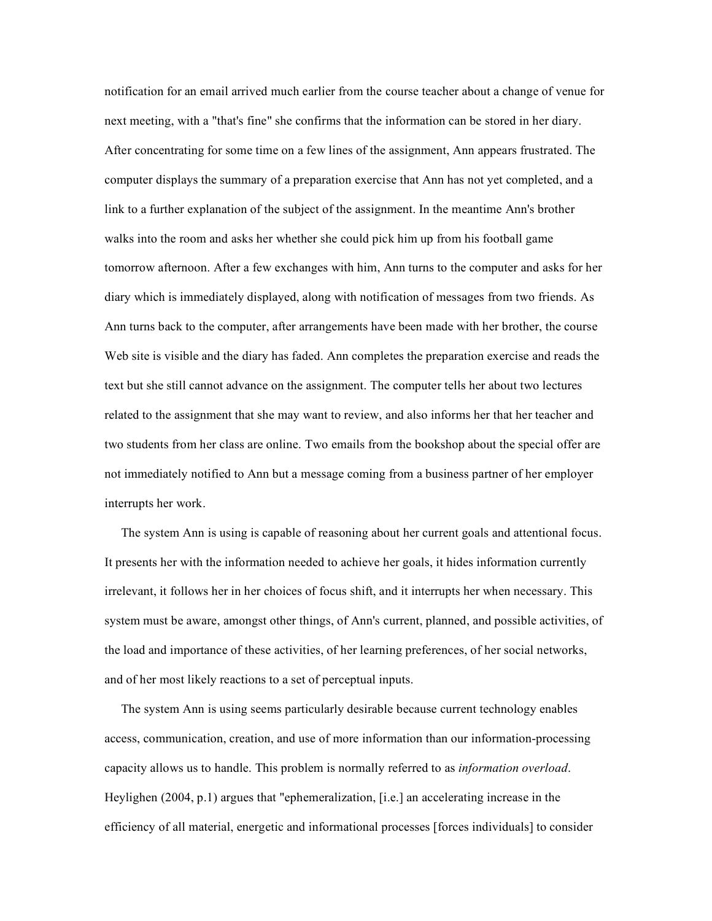notification for an email arrived much earlier from the course teacher about a change of venue for next meeting, with a "that's fine" she confirms that the information can be stored in her diary. After concentrating for some time on a few lines of the assignment, Ann appears frustrated. The computer displays the summary of a preparation exercise that Ann has not yet completed, and a link to a further explanation of the subject of the assignment. In the meantime Ann's brother walks into the room and asks her whether she could pick him up from his football game tomorrow afternoon. After a few exchanges with him, Ann turns to the computer and asks for her diary which is immediately displayed, along with notification of messages from two friends. As Ann turns back to the computer, after arrangements have been made with her brother, the course Web site is visible and the diary has faded. Ann completes the preparation exercise and reads the text but she still cannot advance on the assignment. The computer tells her about two lectures related to the assignment that she may want to review, and also informs her that her teacher and two students from her class are online. Two emails from the bookshop about the special offer are not immediately notified to Ann but a message coming from a business partner of her employer interrupts her work.

The system Ann is using is capable of reasoning about her current goals and attentional focus. It presents her with the information needed to achieve her goals, it hides information currently irrelevant, it follows her in her choices of focus shift, and it interrupts her when necessary. This system must be aware, amongst other things, of Ann's current, planned, and possible activities, of the load and importance of these activities, of her learning preferences, of her social networks, and of her most likely reactions to a set of perceptual inputs.

The system Ann is using seems particularly desirable because current technology enables access, communication, creation, and use of more information than our information-processing capacity allows us to handle. This problem is normally referred to as *information overload*. Heylighen (2004, p.1) argues that "ephemeralization, [i.e.] an accelerating increase in the efficiency of all material, energetic and informational processes [forces individuals] to consider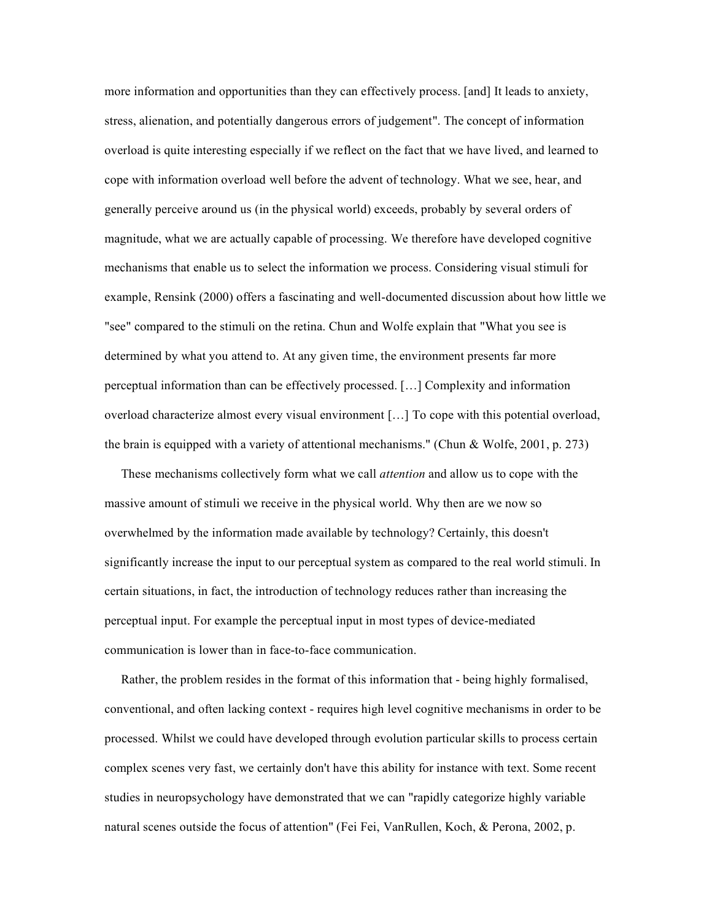more information and opportunities than they can effectively process. [and] It leads to anxiety, stress, alienation, and potentially dangerous errors of judgement". The concept of information overload is quite interesting especially if we reflect on the fact that we have lived, and learned to cope with information overload well before the advent of technology. What we see, hear, and generally perceive around us (in the physical world) exceeds, probably by several orders of magnitude, what we are actually capable of processing. We therefore have developed cognitive mechanisms that enable us to select the information we process. Considering visual stimuli for example, Rensink (2000) offers a fascinating and well-documented discussion about how little we "see" compared to the stimuli on the retina. Chun and Wolfe explain that "What you see is determined by what you attend to. At any given time, the environment presents far more perceptual information than can be effectively processed. […] Complexity and information overload characterize almost every visual environment […] To cope with this potential overload, the brain is equipped with a variety of attentional mechanisms." (Chun & Wolfe, 2001, p. 273)

These mechanisms collectively form what we call *attention* and allow us to cope with the massive amount of stimuli we receive in the physical world. Why then are we now so overwhelmed by the information made available by technology? Certainly, this doesn't significantly increase the input to our perceptual system as compared to the real world stimuli. In certain situations, in fact, the introduction of technology reduces rather than increasing the perceptual input. For example the perceptual input in most types of device-mediated communication is lower than in face-to-face communication.

Rather, the problem resides in the format of this information that - being highly formalised, conventional, and often lacking context - requires high level cognitive mechanisms in order to be processed. Whilst we could have developed through evolution particular skills to process certain complex scenes very fast, we certainly don't have this ability for instance with text. Some recent studies in neuropsychology have demonstrated that we can "rapidly categorize highly variable natural scenes outside the focus of attention" (Fei Fei, VanRullen, Koch, & Perona, 2002, p.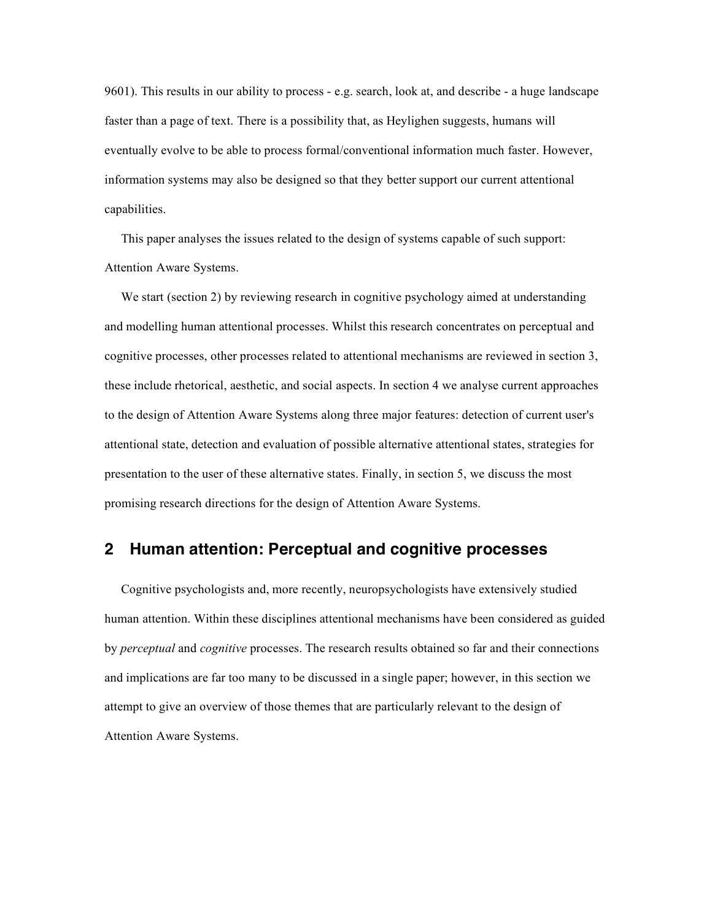9601). This results in our ability to process - e.g. search, look at, and describe - a huge landscape faster than a page of text. There is a possibility that, as Heylighen suggests, humans will eventually evolve to be able to process formal/conventional information much faster. However, information systems may also be designed so that they better support our current attentional capabilities.

This paper analyses the issues related to the design of systems capable of such support: Attention Aware Systems.

We start (section 2) by reviewing research in cognitive psychology aimed at understanding and modelling human attentional processes. Whilst this research concentrates on perceptual and cognitive processes, other processes related to attentional mechanisms are reviewed in section 3, these include rhetorical, aesthetic, and social aspects. In section 4 we analyse current approaches to the design of Attention Aware Systems along three major features: detection of current user's attentional state, detection and evaluation of possible alternative attentional states, strategies for presentation to the user of these alternative states. Finally, in section 5, we discuss the most promising research directions for the design of Attention Aware Systems.

# **2 Human attention: Perceptual and cognitive processes**

Cognitive psychologists and, more recently, neuropsychologists have extensively studied human attention. Within these disciplines attentional mechanisms have been considered as guided by *perceptual* and *cognitive* processes. The research results obtained so far and their connections and implications are far too many to be discussed in a single paper; however, in this section we attempt to give an overview of those themes that are particularly relevant to the design of Attention Aware Systems.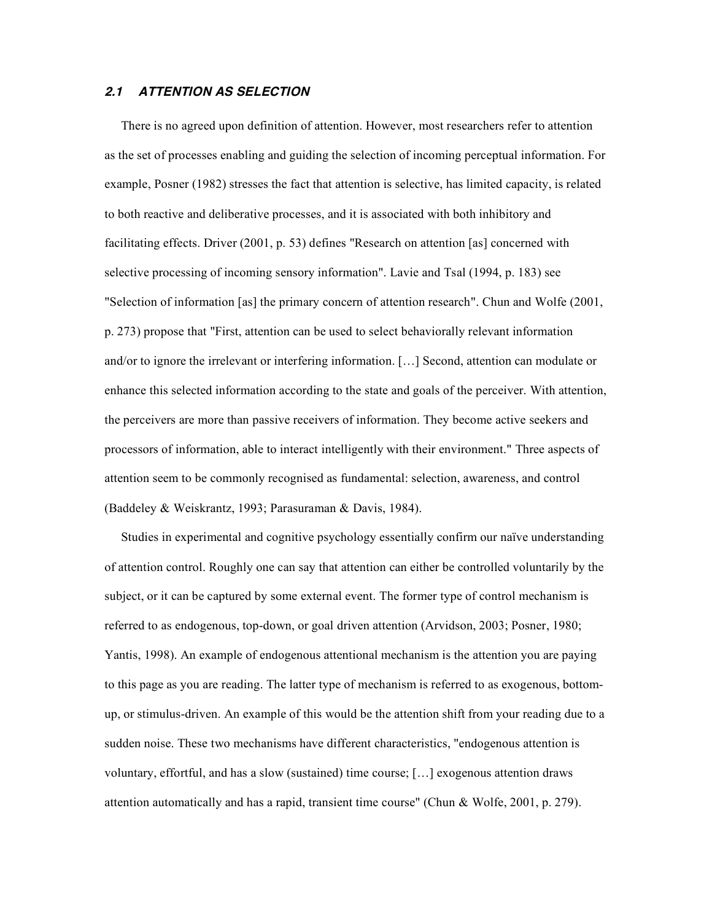## **2.1 ATTENTION AS SELECTION**

There is no agreed upon definition of attention. However, most researchers refer to attention as the set of processes enabling and guiding the selection of incoming perceptual information. For example, Posner (1982) stresses the fact that attention is selective, has limited capacity, is related to both reactive and deliberative processes, and it is associated with both inhibitory and facilitating effects. Driver (2001, p. 53) defines "Research on attention [as] concerned with selective processing of incoming sensory information". Lavie and Tsal (1994, p. 183) see "Selection of information [as] the primary concern of attention research". Chun and Wolfe (2001, p. 273) propose that "First, attention can be used to select behaviorally relevant information and/or to ignore the irrelevant or interfering information. […] Second, attention can modulate or enhance this selected information according to the state and goals of the perceiver. With attention, the perceivers are more than passive receivers of information. They become active seekers and processors of information, able to interact intelligently with their environment." Three aspects of attention seem to be commonly recognised as fundamental: selection, awareness, and control (Baddeley & Weiskrantz, 1993; Parasuraman & Davis, 1984).

Studies in experimental and cognitive psychology essentially confirm our naïve understanding of attention control. Roughly one can say that attention can either be controlled voluntarily by the subject, or it can be captured by some external event. The former type of control mechanism is referred to as endogenous, top-down, or goal driven attention (Arvidson, 2003; Posner, 1980; Yantis, 1998). An example of endogenous attentional mechanism is the attention you are paying to this page as you are reading. The latter type of mechanism is referred to as exogenous, bottomup, or stimulus-driven. An example of this would be the attention shift from your reading due to a sudden noise. These two mechanisms have different characteristics, "endogenous attention is voluntary, effortful, and has a slow (sustained) time course; […] exogenous attention draws attention automatically and has a rapid, transient time course" (Chun & Wolfe, 2001, p. 279).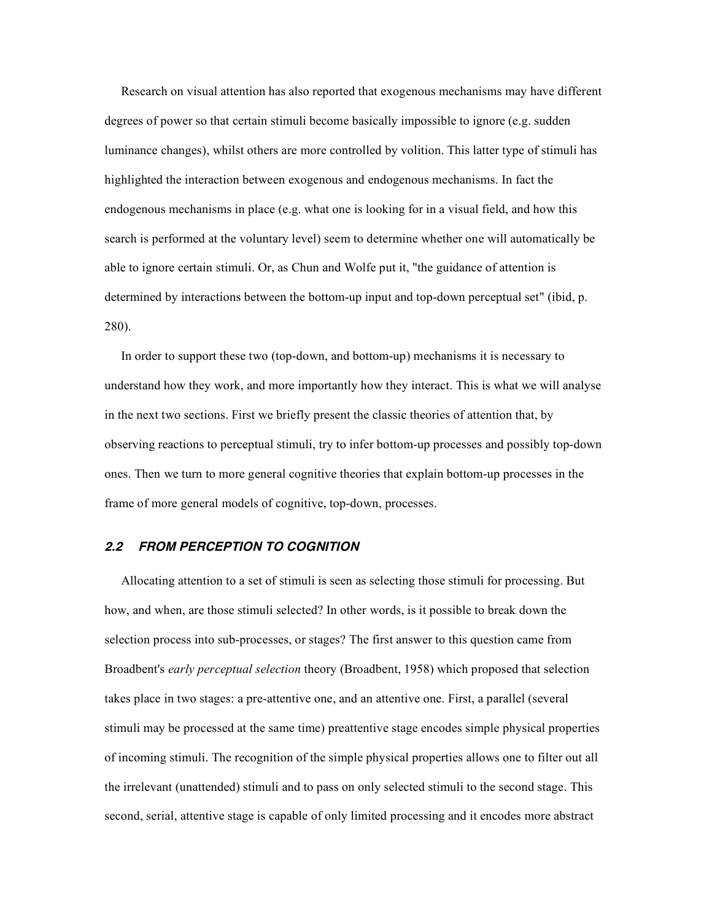Research on visual attention has also reported that exogenous mechanisms may have different degrees of power so that certain stimuli become basically impossible to ignore (e.g. sudden luminance changes), whilst others are more controlled by volition. This latter type of stimuli has highlighted the interaction between exogenous and endogenous mechanisms. In fact the endogenous mechanisms in place (e.g. what one is looking for in a visual field, and how this search is performed at the voluntary level) seem to determine whether one will automatically be able to ignore certain stimuli. Or, as Chun and Wolfe put it, "the guidance of attention is determined by interactions between the bottom-up input and top-down perceptual set" (ibid, p. 280).

In order to support these two (top-down, and bottom-up) mechanisms it is necessary to understand how they work, and more importantly how they interact. This is what we will analyse in the next two sections. First we briefly present the classic theories of attention that, by observing reactions to perceptual stimuli, try to infer bottom-up processes and possibly top-down ones. Then we turn to more general cognitive theories that explain bottom-up processes in the frame of more general models of cognitive, top-down, processes.

# **2.2 FROM PERCEPTION TO COGNITION**

Allocating attention to a set of stimuli is seen as selecting those stimuli for processing. But how, and when, are those stimuli selected? In other words, is it possible to break down the selection process into sub-processes, or stages? The first answer to this question came from Broadbent's *early perceptual selection* theory (Broadbent, 1958) which proposed that selection takes place in two stages: a pre-attentive one, and an attentive one. First, a parallel (several stimuli may be processed at the same time) preattentive stage encodes simple physical properties of incoming stimuli. The recognition of the simple physical properties allows one to filter out all the irrelevant (unattended) stimuli and to pass on only selected stimuli to the second stage. This second, serial, attentive stage is capable of only limited processing and it encodes more abstract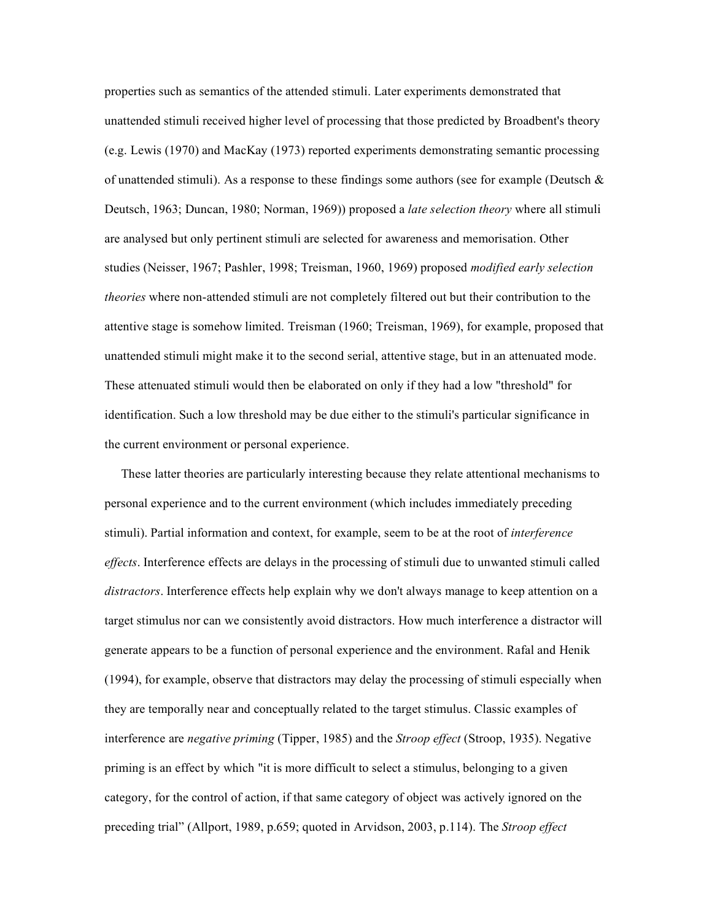properties such as semantics of the attended stimuli. Later experiments demonstrated that unattended stimuli received higher level of processing that those predicted by Broadbent's theory (e.g. Lewis (1970) and MacKay (1973) reported experiments demonstrating semantic processing of unattended stimuli). As a response to these findings some authors (see for example (Deutsch  $\&$ Deutsch, 1963; Duncan, 1980; Norman, 1969)) proposed a *late selection theory* where all stimuli are analysed but only pertinent stimuli are selected for awareness and memorisation. Other studies (Neisser, 1967; Pashler, 1998; Treisman, 1960, 1969) proposed *modified early selection theories* where non-attended stimuli are not completely filtered out but their contribution to the attentive stage is somehow limited. Treisman (1960; Treisman, 1969), for example, proposed that unattended stimuli might make it to the second serial, attentive stage, but in an attenuated mode. These attenuated stimuli would then be elaborated on only if they had a low "threshold" for identification. Such a low threshold may be due either to the stimuli's particular significance in the current environment or personal experience.

These latter theories are particularly interesting because they relate attentional mechanisms to personal experience and to the current environment (which includes immediately preceding stimuli). Partial information and context, for example, seem to be at the root of *interference effects*. Interference effects are delays in the processing of stimuli due to unwanted stimuli called *distractors*. Interference effects help explain why we don't always manage to keep attention on a target stimulus nor can we consistently avoid distractors. How much interference a distractor will generate appears to be a function of personal experience and the environment. Rafal and Henik (1994), for example, observe that distractors may delay the processing of stimuli especially when they are temporally near and conceptually related to the target stimulus. Classic examples of interference are *negative priming* (Tipper, 1985) and the *Stroop effect* (Stroop, 1935). Negative priming is an effect by which "it is more difficult to select a stimulus, belonging to a given category, for the control of action, if that same category of object was actively ignored on the preceding trial" (Allport, 1989, p.659; quoted in Arvidson, 2003, p.114). The *Stroop effect*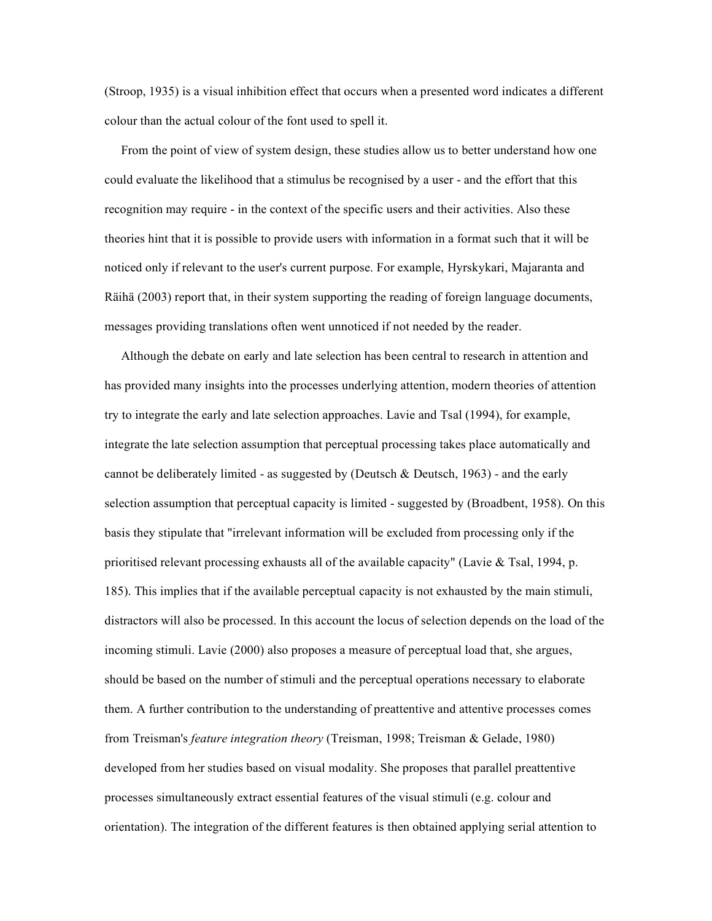(Stroop, 1935) is a visual inhibition effect that occurs when a presented word indicates a different colour than the actual colour of the font used to spell it.

From the point of view of system design, these studies allow us to better understand how one could evaluate the likelihood that a stimulus be recognised by a user - and the effort that this recognition may require - in the context of the specific users and their activities. Also these theories hint that it is possible to provide users with information in a format such that it will be noticed only if relevant to the user's current purpose. For example, Hyrskykari, Majaranta and Räihä (2003) report that, in their system supporting the reading of foreign language documents, messages providing translations often went unnoticed if not needed by the reader.

Although the debate on early and late selection has been central to research in attention and has provided many insights into the processes underlying attention, modern theories of attention try to integrate the early and late selection approaches. Lavie and Tsal (1994), for example, integrate the late selection assumption that perceptual processing takes place automatically and cannot be deliberately limited - as suggested by (Deutsch & Deutsch, 1963) - and the early selection assumption that perceptual capacity is limited - suggested by (Broadbent, 1958). On this basis they stipulate that "irrelevant information will be excluded from processing only if the prioritised relevant processing exhausts all of the available capacity" (Lavie  $&$  Tsal, 1994, p. 185). This implies that if the available perceptual capacity is not exhausted by the main stimuli, distractors will also be processed. In this account the locus of selection depends on the load of the incoming stimuli. Lavie (2000) also proposes a measure of perceptual load that, she argues, should be based on the number of stimuli and the perceptual operations necessary to elaborate them. A further contribution to the understanding of preattentive and attentive processes comes from Treisman's *feature integration theory* (Treisman, 1998; Treisman & Gelade, 1980) developed from her studies based on visual modality. She proposes that parallel preattentive processes simultaneously extract essential features of the visual stimuli (e.g. colour and orientation). The integration of the different features is then obtained applying serial attention to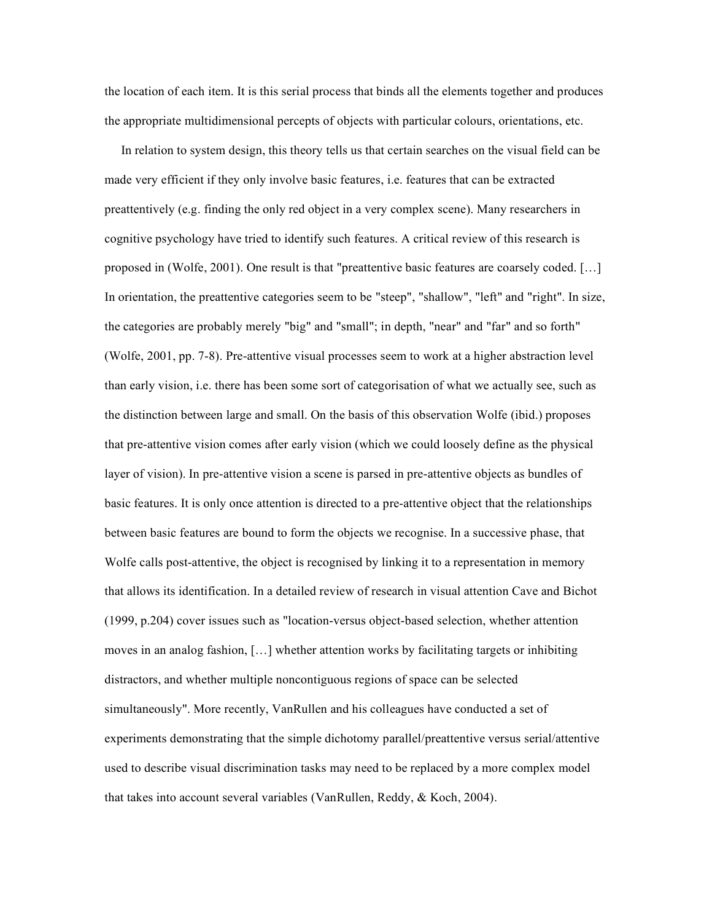the location of each item. It is this serial process that binds all the elements together and produces the appropriate multidimensional percepts of objects with particular colours, orientations, etc.

In relation to system design, this theory tells us that certain searches on the visual field can be made very efficient if they only involve basic features, i.e. features that can be extracted preattentively (e.g. finding the only red object in a very complex scene). Many researchers in cognitive psychology have tried to identify such features. A critical review of this research is proposed in (Wolfe, 2001). One result is that "preattentive basic features are coarsely coded. […] In orientation, the preattentive categories seem to be "steep", "shallow", "left" and "right". In size, the categories are probably merely "big" and "small"; in depth, "near" and "far" and so forth" (Wolfe, 2001, pp. 7-8). Pre-attentive visual processes seem to work at a higher abstraction level than early vision, i.e. there has been some sort of categorisation of what we actually see, such as the distinction between large and small. On the basis of this observation Wolfe (ibid.) proposes that pre-attentive vision comes after early vision (which we could loosely define as the physical layer of vision). In pre-attentive vision a scene is parsed in pre-attentive objects as bundles of basic features. It is only once attention is directed to a pre-attentive object that the relationships between basic features are bound to form the objects we recognise. In a successive phase, that Wolfe calls post-attentive, the object is recognised by linking it to a representation in memory that allows its identification. In a detailed review of research in visual attention Cave and Bichot (1999, p.204) cover issues such as "location-versus object-based selection, whether attention moves in an analog fashion, […] whether attention works by facilitating targets or inhibiting distractors, and whether multiple noncontiguous regions of space can be selected simultaneously". More recently, VanRullen and his colleagues have conducted a set of experiments demonstrating that the simple dichotomy parallel/preattentive versus serial/attentive used to describe visual discrimination tasks may need to be replaced by a more complex model that takes into account several variables (VanRullen, Reddy, & Koch, 2004).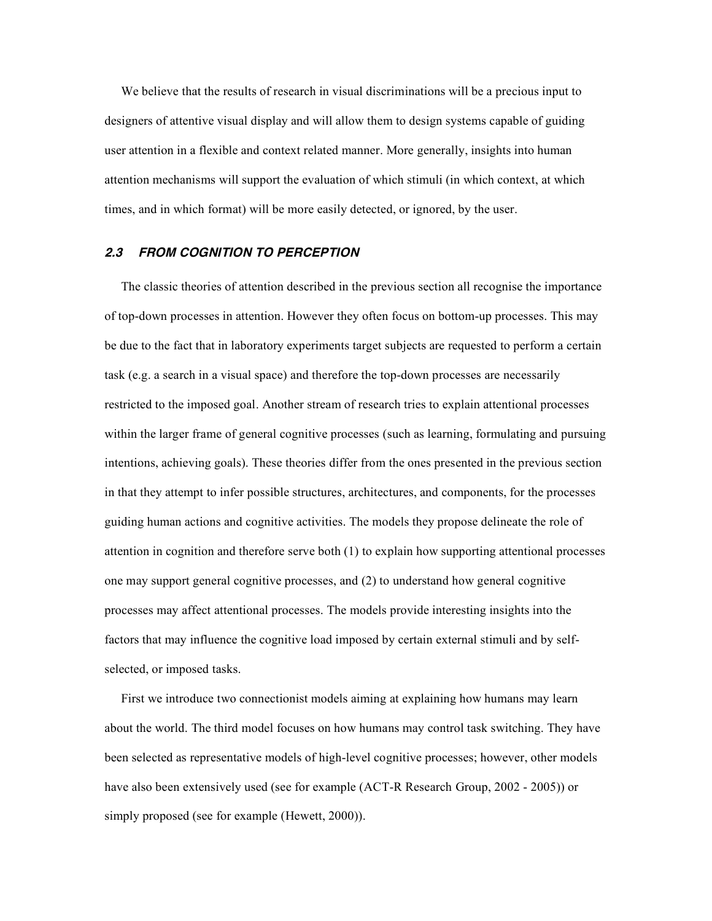We believe that the results of research in visual discriminations will be a precious input to designers of attentive visual display and will allow them to design systems capable of guiding user attention in a flexible and context related manner. More generally, insights into human attention mechanisms will support the evaluation of which stimuli (in which context, at which times, and in which format) will be more easily detected, or ignored, by the user.

## **2.3 FROM COGNITION TO PERCEPTION**

The classic theories of attention described in the previous section all recognise the importance of top-down processes in attention. However they often focus on bottom-up processes. This may be due to the fact that in laboratory experiments target subjects are requested to perform a certain task (e.g. a search in a visual space) and therefore the top-down processes are necessarily restricted to the imposed goal. Another stream of research tries to explain attentional processes within the larger frame of general cognitive processes (such as learning, formulating and pursuing intentions, achieving goals). These theories differ from the ones presented in the previous section in that they attempt to infer possible structures, architectures, and components, for the processes guiding human actions and cognitive activities. The models they propose delineate the role of attention in cognition and therefore serve both (1) to explain how supporting attentional processes one may support general cognitive processes, and (2) to understand how general cognitive processes may affect attentional processes. The models provide interesting insights into the factors that may influence the cognitive load imposed by certain external stimuli and by selfselected, or imposed tasks.

First we introduce two connectionist models aiming at explaining how humans may learn about the world. The third model focuses on how humans may control task switching. They have been selected as representative models of high-level cognitive processes; however, other models have also been extensively used (see for example (ACT-R Research Group, 2002 - 2005)) or simply proposed (see for example (Hewett, 2000)).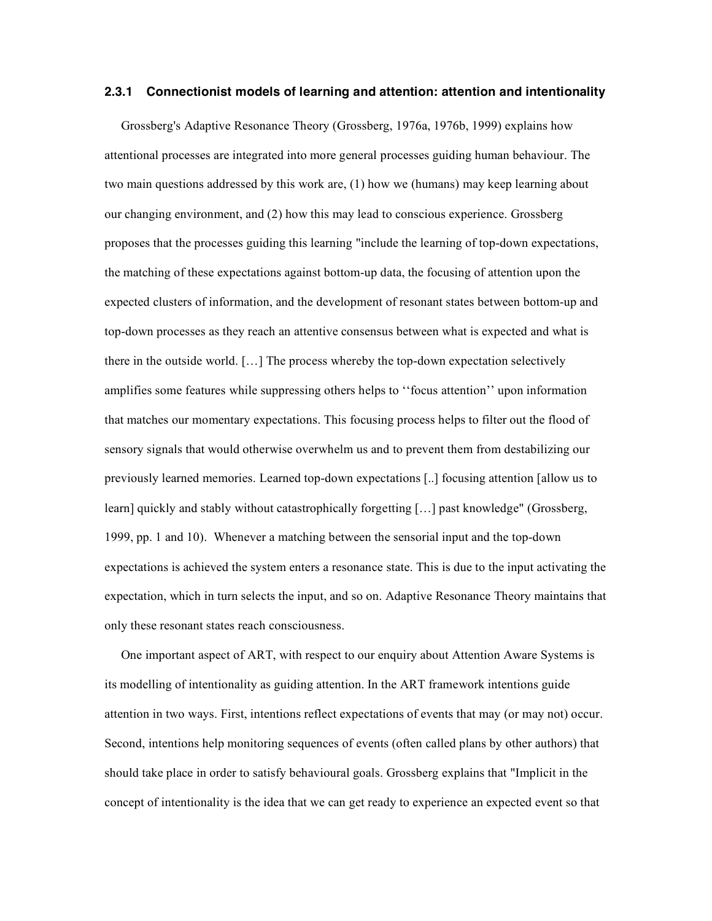#### **2.3.1 Connectionist models of learning and attention: attention and intentionality**

Grossberg's Adaptive Resonance Theory (Grossberg, 1976a, 1976b, 1999) explains how attentional processes are integrated into more general processes guiding human behaviour. The two main questions addressed by this work are, (1) how we (humans) may keep learning about our changing environment, and (2) how this may lead to conscious experience. Grossberg proposes that the processes guiding this learning "include the learning of top-down expectations, the matching of these expectations against bottom-up data, the focusing of attention upon the expected clusters of information, and the development of resonant states between bottom-up and top-down processes as they reach an attentive consensus between what is expected and what is there in the outside world. […] The process whereby the top-down expectation selectively amplifies some features while suppressing others helps to ''focus attention'' upon information that matches our momentary expectations. This focusing process helps to filter out the flood of sensory signals that would otherwise overwhelm us and to prevent them from destabilizing our previously learned memories. Learned top-down expectations [..] focusing attention [allow us to learn] quickly and stably without catastrophically forgetting […] past knowledge" (Grossberg, 1999, pp. 1 and 10). Whenever a matching between the sensorial input and the top-down expectations is achieved the system enters a resonance state. This is due to the input activating the expectation, which in turn selects the input, and so on. Adaptive Resonance Theory maintains that only these resonant states reach consciousness.

One important aspect of ART, with respect to our enquiry about Attention Aware Systems is its modelling of intentionality as guiding attention. In the ART framework intentions guide attention in two ways. First, intentions reflect expectations of events that may (or may not) occur. Second, intentions help monitoring sequences of events (often called plans by other authors) that should take place in order to satisfy behavioural goals. Grossberg explains that "Implicit in the concept of intentionality is the idea that we can get ready to experience an expected event so that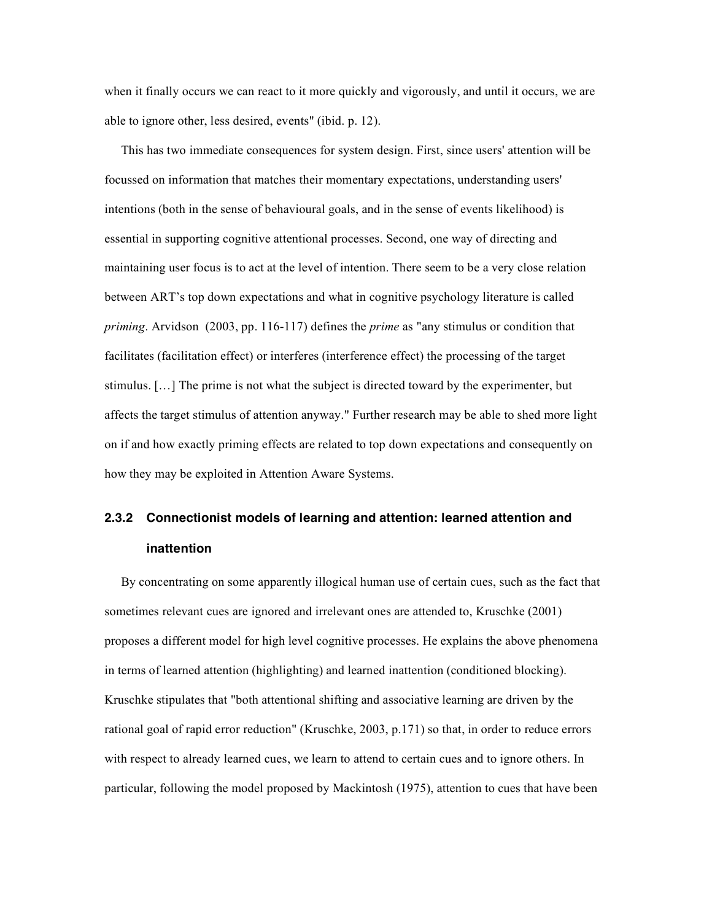when it finally occurs we can react to it more quickly and vigorously, and until it occurs, we are able to ignore other, less desired, events" (ibid. p. 12).

This has two immediate consequences for system design. First, since users' attention will be focussed on information that matches their momentary expectations, understanding users' intentions (both in the sense of behavioural goals, and in the sense of events likelihood) is essential in supporting cognitive attentional processes. Second, one way of directing and maintaining user focus is to act at the level of intention. There seem to be a very close relation between ART's top down expectations and what in cognitive psychology literature is called *priming*. Arvidson (2003, pp. 116-117) defines the *prime* as "any stimulus or condition that facilitates (facilitation effect) or interferes (interference effect) the processing of the target stimulus. […] The prime is not what the subject is directed toward by the experimenter, but affects the target stimulus of attention anyway." Further research may be able to shed more light on if and how exactly priming effects are related to top down expectations and consequently on how they may be exploited in Attention Aware Systems.

# **2.3.2 Connectionist models of learning and attention: learned attention and inattention**

By concentrating on some apparently illogical human use of certain cues, such as the fact that sometimes relevant cues are ignored and irrelevant ones are attended to, Kruschke (2001) proposes a different model for high level cognitive processes. He explains the above phenomena in terms of learned attention (highlighting) and learned inattention (conditioned blocking). Kruschke stipulates that "both attentional shifting and associative learning are driven by the rational goal of rapid error reduction" (Kruschke, 2003, p.171) so that, in order to reduce errors with respect to already learned cues, we learn to attend to certain cues and to ignore others. In particular, following the model proposed by Mackintosh (1975), attention to cues that have been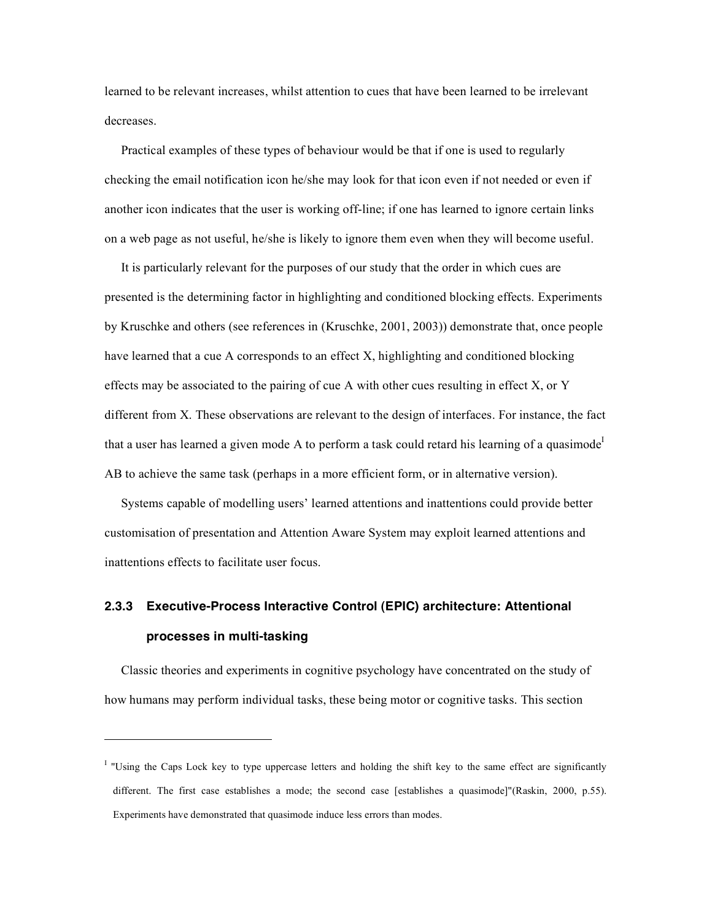learned to be relevant increases, whilst attention to cues that have been learned to be irrelevant decreases.

Practical examples of these types of behaviour would be that if one is used to regularly checking the email notification icon he/she may look for that icon even if not needed or even if another icon indicates that the user is working off-line; if one has learned to ignore certain links on a web page as not useful, he/she is likely to ignore them even when they will become useful.

It is particularly relevant for the purposes of our study that the order in which cues are presented is the determining factor in highlighting and conditioned blocking effects. Experiments by Kruschke and others (see references in (Kruschke, 2001, 2003)) demonstrate that, once people have learned that a cue A corresponds to an effect X, highlighting and conditioned blocking effects may be associated to the pairing of cue A with other cues resulting in effect X, or Y different from X. These observations are relevant to the design of interfaces. For instance, the fact that a user has learned a given mode A to perform a task could retard his learning of a quasimode<sup>I</sup> AB to achieve the same task (perhaps in a more efficient form, or in alternative version).

Systems capable of modelling users' learned attentions and inattentions could provide better customisation of presentation and Attention Aware System may exploit learned attentions and inattentions effects to facilitate user focus.

# **2.3.3 Executive-Process Interactive Control (EPIC) architecture: Attentional processes in multi-tasking**

Classic theories and experiments in cognitive psychology have concentrated on the study of how humans may perform individual tasks, these being motor or cognitive tasks. This section

l

<sup>&</sup>lt;sup>I</sup> "Using the Caps Lock key to type uppercase letters and holding the shift key to the same effect are significantly different. The first case establishes a mode; the second case [establishes a quasimode]"(Raskin, 2000, p.55). Experiments have demonstrated that quasimode induce less errors than modes.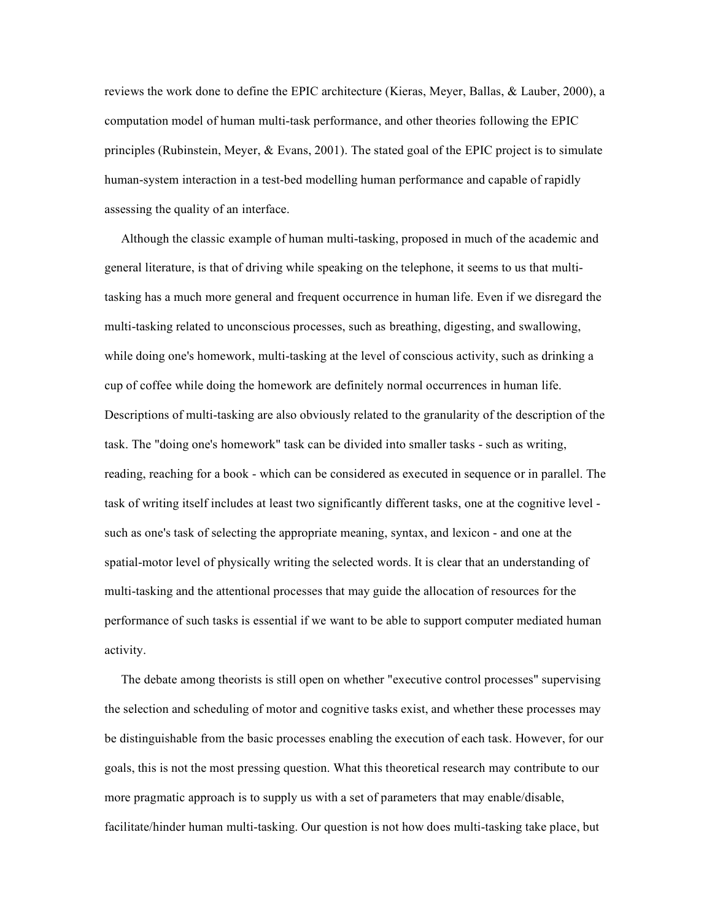reviews the work done to define the EPIC architecture (Kieras, Meyer, Ballas, & Lauber, 2000), a computation model of human multi-task performance, and other theories following the EPIC principles (Rubinstein, Meyer, & Evans, 2001). The stated goal of the EPIC project is to simulate human-system interaction in a test-bed modelling human performance and capable of rapidly assessing the quality of an interface.

Although the classic example of human multi-tasking, proposed in much of the academic and general literature, is that of driving while speaking on the telephone, it seems to us that multitasking has a much more general and frequent occurrence in human life. Even if we disregard the multi-tasking related to unconscious processes, such as breathing, digesting, and swallowing, while doing one's homework, multi-tasking at the level of conscious activity, such as drinking a cup of coffee while doing the homework are definitely normal occurrences in human life. Descriptions of multi-tasking are also obviously related to the granularity of the description of the task. The "doing one's homework" task can be divided into smaller tasks - such as writing, reading, reaching for a book - which can be considered as executed in sequence or in parallel. The task of writing itself includes at least two significantly different tasks, one at the cognitive level such as one's task of selecting the appropriate meaning, syntax, and lexicon - and one at the spatial-motor level of physically writing the selected words. It is clear that an understanding of multi-tasking and the attentional processes that may guide the allocation of resources for the performance of such tasks is essential if we want to be able to support computer mediated human activity.

The debate among theorists is still open on whether "executive control processes" supervising the selection and scheduling of motor and cognitive tasks exist, and whether these processes may be distinguishable from the basic processes enabling the execution of each task. However, for our goals, this is not the most pressing question. What this theoretical research may contribute to our more pragmatic approach is to supply us with a set of parameters that may enable/disable, facilitate/hinder human multi-tasking. Our question is not how does multi-tasking take place, but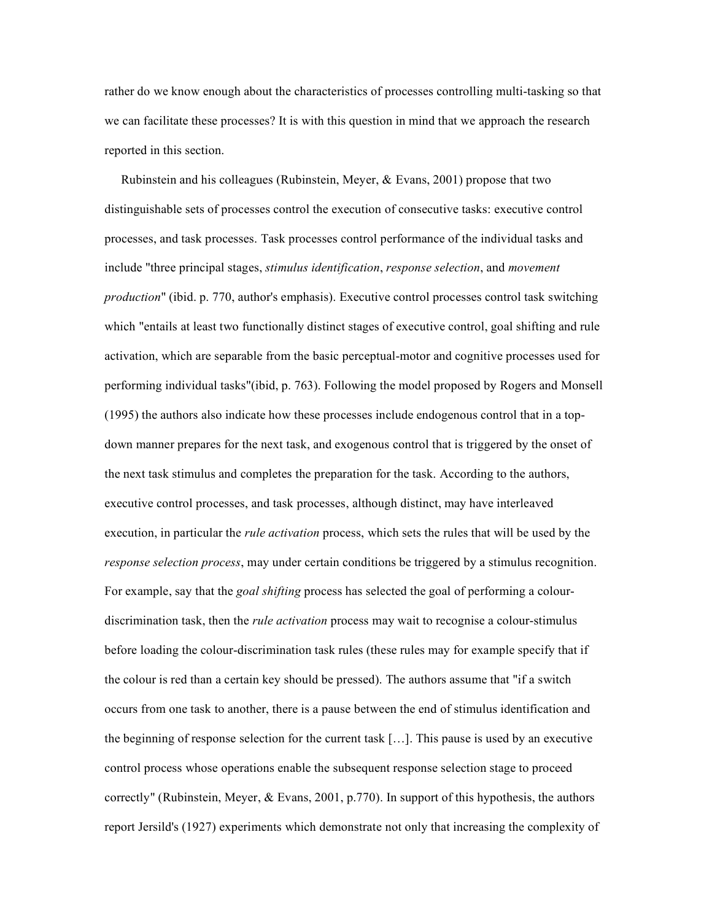rather do we know enough about the characteristics of processes controlling multi-tasking so that we can facilitate these processes? It is with this question in mind that we approach the research reported in this section.

Rubinstein and his colleagues (Rubinstein, Meyer, & Evans, 2001) propose that two distinguishable sets of processes control the execution of consecutive tasks: executive control processes, and task processes. Task processes control performance of the individual tasks and include "three principal stages, *stimulus identification*, *response selection*, and *movement production*" (ibid. p. 770, author's emphasis). Executive control processes control task switching which "entails at least two functionally distinct stages of executive control, goal shifting and rule activation, which are separable from the basic perceptual-motor and cognitive processes used for performing individual tasks"(ibid, p. 763). Following the model proposed by Rogers and Monsell (1995) the authors also indicate how these processes include endogenous control that in a topdown manner prepares for the next task, and exogenous control that is triggered by the onset of the next task stimulus and completes the preparation for the task. According to the authors, executive control processes, and task processes, although distinct, may have interleaved execution, in particular the *rule activation* process, which sets the rules that will be used by the *response selection process*, may under certain conditions be triggered by a stimulus recognition. For example, say that the *goal shifting* process has selected the goal of performing a colourdiscrimination task, then the *rule activation* process may wait to recognise a colour-stimulus before loading the colour-discrimination task rules (these rules may for example specify that if the colour is red than a certain key should be pressed). The authors assume that "if a switch occurs from one task to another, there is a pause between the end of stimulus identification and the beginning of response selection for the current task […]. This pause is used by an executive control process whose operations enable the subsequent response selection stage to proceed correctly" (Rubinstein, Meyer, & Evans, 2001, p.770). In support of this hypothesis, the authors report Jersild's (1927) experiments which demonstrate not only that increasing the complexity of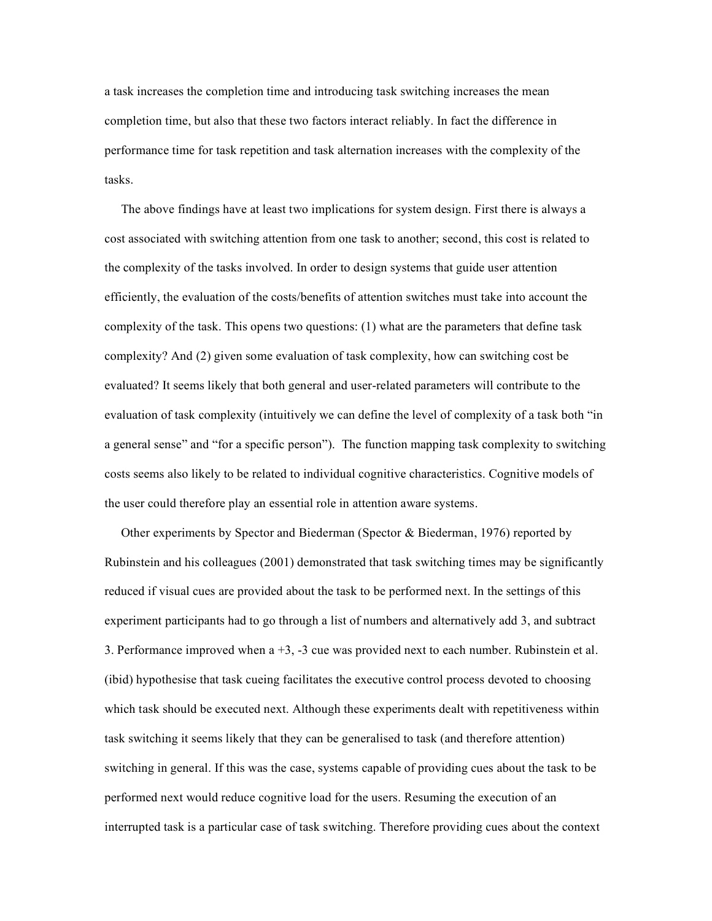a task increases the completion time and introducing task switching increases the mean completion time, but also that these two factors interact reliably. In fact the difference in performance time for task repetition and task alternation increases with the complexity of the tasks.

The above findings have at least two implications for system design. First there is always a cost associated with switching attention from one task to another; second, this cost is related to the complexity of the tasks involved. In order to design systems that guide user attention efficiently, the evaluation of the costs/benefits of attention switches must take into account the complexity of the task. This opens two questions: (1) what are the parameters that define task complexity? And (2) given some evaluation of task complexity, how can switching cost be evaluated? It seems likely that both general and user-related parameters will contribute to the evaluation of task complexity (intuitively we can define the level of complexity of a task both "in a general sense" and "for a specific person"). The function mapping task complexity to switching costs seems also likely to be related to individual cognitive characteristics. Cognitive models of the user could therefore play an essential role in attention aware systems.

Other experiments by Spector and Biederman (Spector & Biederman, 1976) reported by Rubinstein and his colleagues (2001) demonstrated that task switching times may be significantly reduced if visual cues are provided about the task to be performed next. In the settings of this experiment participants had to go through a list of numbers and alternatively add 3, and subtract 3. Performance improved when a +3, -3 cue was provided next to each number. Rubinstein et al. (ibid) hypothesise that task cueing facilitates the executive control process devoted to choosing which task should be executed next. Although these experiments dealt with repetitiveness within task switching it seems likely that they can be generalised to task (and therefore attention) switching in general. If this was the case, systems capable of providing cues about the task to be performed next would reduce cognitive load for the users. Resuming the execution of an interrupted task is a particular case of task switching. Therefore providing cues about the context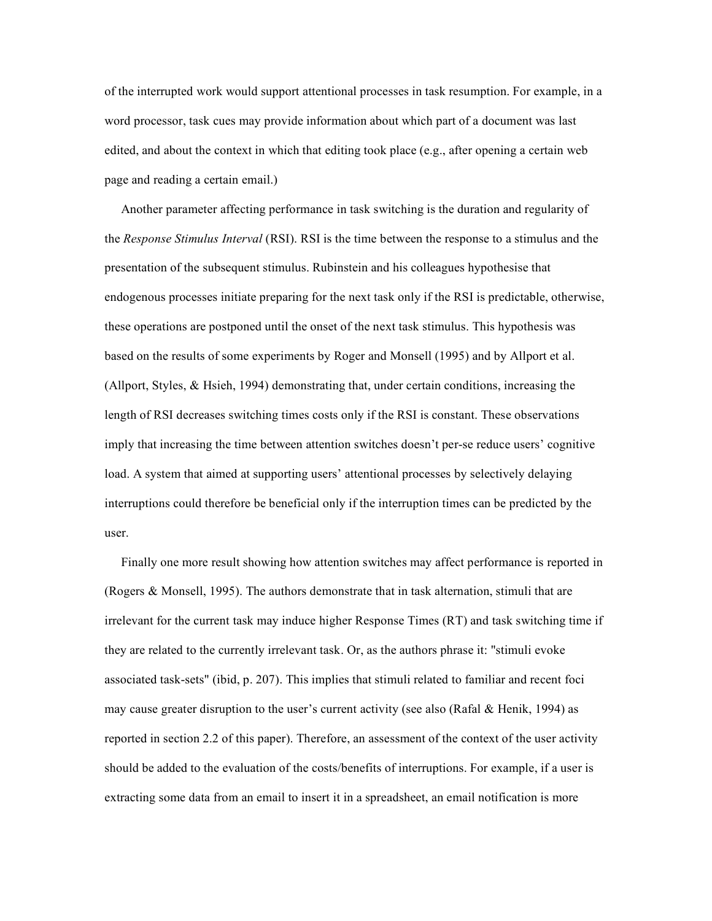of the interrupted work would support attentional processes in task resumption. For example, in a word processor, task cues may provide information about which part of a document was last edited, and about the context in which that editing took place (e.g., after opening a certain web page and reading a certain email.)

Another parameter affecting performance in task switching is the duration and regularity of the *Response Stimulus Interval* (RSI). RSI is the time between the response to a stimulus and the presentation of the subsequent stimulus. Rubinstein and his colleagues hypothesise that endogenous processes initiate preparing for the next task only if the RSI is predictable, otherwise, these operations are postponed until the onset of the next task stimulus. This hypothesis was based on the results of some experiments by Roger and Monsell (1995) and by Allport et al. (Allport, Styles, & Hsieh, 1994) demonstrating that, under certain conditions, increasing the length of RSI decreases switching times costs only if the RSI is constant. These observations imply that increasing the time between attention switches doesn't per-se reduce users' cognitive load. A system that aimed at supporting users' attentional processes by selectively delaying interruptions could therefore be beneficial only if the interruption times can be predicted by the user.

Finally one more result showing how attention switches may affect performance is reported in (Rogers & Monsell, 1995). The authors demonstrate that in task alternation, stimuli that are irrelevant for the current task may induce higher Response Times (RT) and task switching time if they are related to the currently irrelevant task. Or, as the authors phrase it: "stimuli evoke associated task-sets" (ibid, p. 207). This implies that stimuli related to familiar and recent foci may cause greater disruption to the user's current activity (see also (Rafal  $\&$  Henik, 1994) as reported in section 2.2 of this paper). Therefore, an assessment of the context of the user activity should be added to the evaluation of the costs/benefits of interruptions. For example, if a user is extracting some data from an email to insert it in a spreadsheet, an email notification is more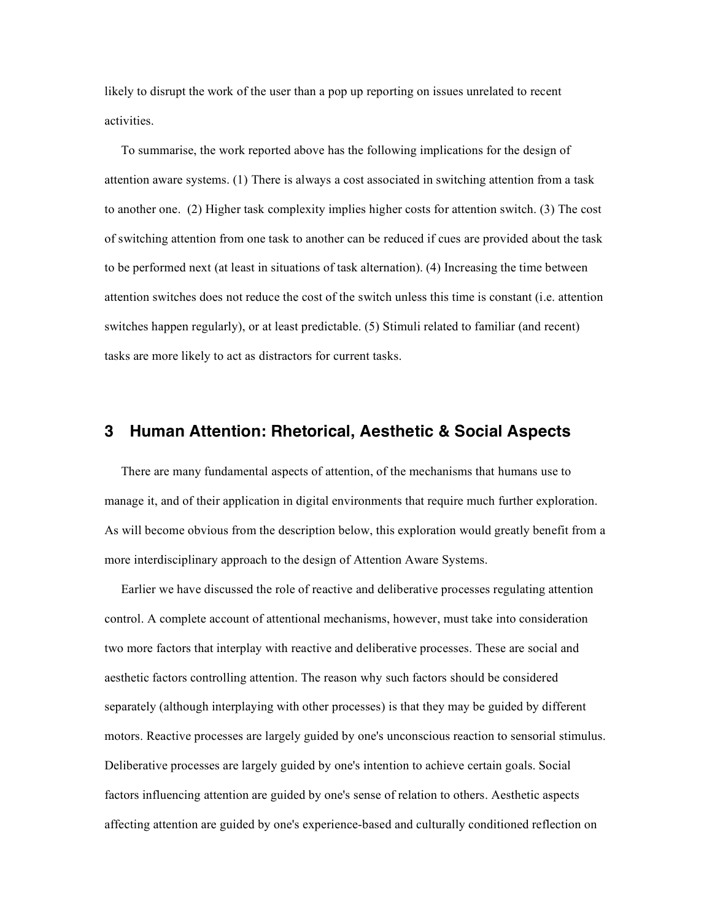likely to disrupt the work of the user than a pop up reporting on issues unrelated to recent activities.

To summarise, the work reported above has the following implications for the design of attention aware systems. (1) There is always a cost associated in switching attention from a task to another one. (2) Higher task complexity implies higher costs for attention switch. (3) The cost of switching attention from one task to another can be reduced if cues are provided about the task to be performed next (at least in situations of task alternation). (4) Increasing the time between attention switches does not reduce the cost of the switch unless this time is constant (i.e. attention switches happen regularly), or at least predictable. (5) Stimuli related to familiar (and recent) tasks are more likely to act as distractors for current tasks.

# **3 Human Attention: Rhetorical, Aesthetic & Social Aspects**

There are many fundamental aspects of attention, of the mechanisms that humans use to manage it, and of their application in digital environments that require much further exploration. As will become obvious from the description below, this exploration would greatly benefit from a more interdisciplinary approach to the design of Attention Aware Systems.

Earlier we have discussed the role of reactive and deliberative processes regulating attention control. A complete account of attentional mechanisms, however, must take into consideration two more factors that interplay with reactive and deliberative processes. These are social and aesthetic factors controlling attention. The reason why such factors should be considered separately (although interplaying with other processes) is that they may be guided by different motors. Reactive processes are largely guided by one's unconscious reaction to sensorial stimulus. Deliberative processes are largely guided by one's intention to achieve certain goals. Social factors influencing attention are guided by one's sense of relation to others. Aesthetic aspects affecting attention are guided by one's experience-based and culturally conditioned reflection on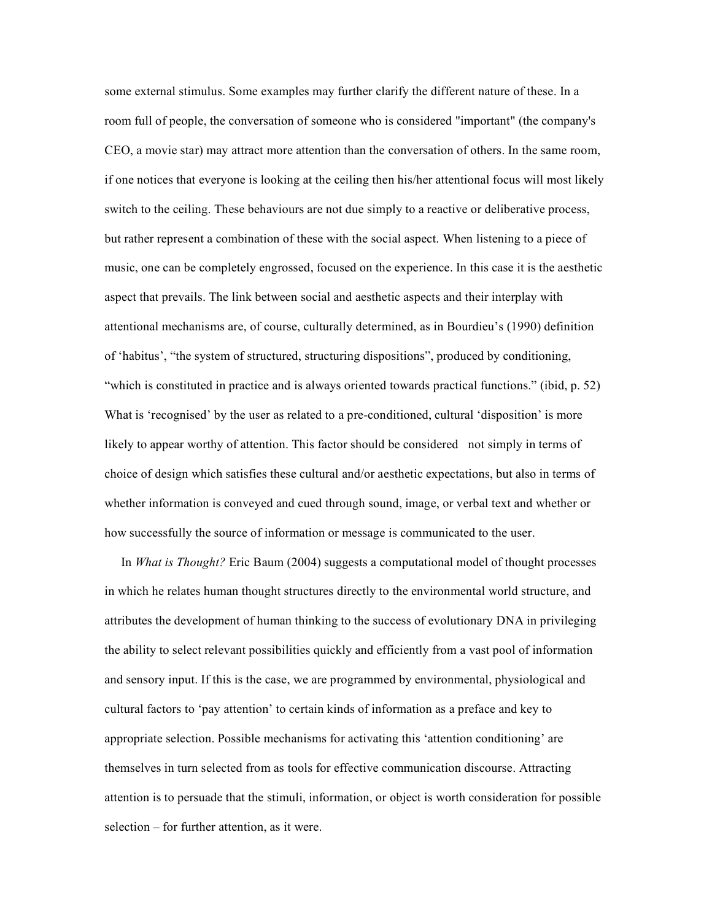some external stimulus. Some examples may further clarify the different nature of these. In a room full of people, the conversation of someone who is considered "important" (the company's CEO, a movie star) may attract more attention than the conversation of others. In the same room, if one notices that everyone is looking at the ceiling then his/her attentional focus will most likely switch to the ceiling. These behaviours are not due simply to a reactive or deliberative process, but rather represent a combination of these with the social aspect. When listening to a piece of music, one can be completely engrossed, focused on the experience. In this case it is the aesthetic aspect that prevails. The link between social and aesthetic aspects and their interplay with attentional mechanisms are, of course, culturally determined, as in Bourdieu's (1990) definition of 'habitus', "the system of structured, structuring dispositions", produced by conditioning, "which is constituted in practice and is always oriented towards practical functions." (ibid, p. 52) What is 'recognised' by the user as related to a pre-conditioned, cultural 'disposition' is more likely to appear worthy of attention. This factor should be considered not simply in terms of choice of design which satisfies these cultural and/or aesthetic expectations, but also in terms of whether information is conveyed and cued through sound, image, or verbal text and whether or how successfully the source of information or message is communicated to the user.

In *What is Thought?* Eric Baum (2004) suggests a computational model of thought processes in which he relates human thought structures directly to the environmental world structure, and attributes the development of human thinking to the success of evolutionary DNA in privileging the ability to select relevant possibilities quickly and efficiently from a vast pool of information and sensory input. If this is the case, we are programmed by environmental, physiological and cultural factors to 'pay attention' to certain kinds of information as a preface and key to appropriate selection. Possible mechanisms for activating this 'attention conditioning' are themselves in turn selected from as tools for effective communication discourse. Attracting attention is to persuade that the stimuli, information, or object is worth consideration for possible selection – for further attention, as it were.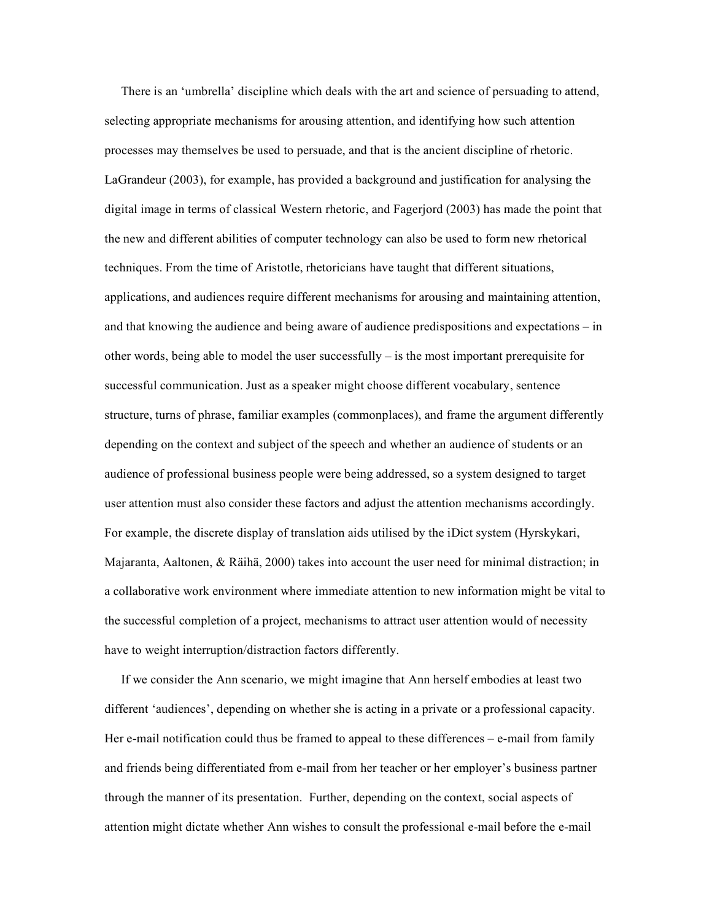There is an 'umbrella' discipline which deals with the art and science of persuading to attend, selecting appropriate mechanisms for arousing attention, and identifying how such attention processes may themselves be used to persuade, and that is the ancient discipline of rhetoric. LaGrandeur (2003), for example, has provided a background and justification for analysing the digital image in terms of classical Western rhetoric, and Fagerjord (2003) has made the point that the new and different abilities of computer technology can also be used to form new rhetorical techniques. From the time of Aristotle, rhetoricians have taught that different situations, applications, and audiences require different mechanisms for arousing and maintaining attention, and that knowing the audience and being aware of audience predispositions and expectations – in other words, being able to model the user successfully – is the most important prerequisite for successful communication. Just as a speaker might choose different vocabulary, sentence structure, turns of phrase, familiar examples (commonplaces), and frame the argument differently depending on the context and subject of the speech and whether an audience of students or an audience of professional business people were being addressed, so a system designed to target user attention must also consider these factors and adjust the attention mechanisms accordingly. For example, the discrete display of translation aids utilised by the iDict system (Hyrskykari, Majaranta, Aaltonen, & Räihä, 2000) takes into account the user need for minimal distraction; in a collaborative work environment where immediate attention to new information might be vital to the successful completion of a project, mechanisms to attract user attention would of necessity have to weight interruption/distraction factors differently.

If we consider the Ann scenario, we might imagine that Ann herself embodies at least two different 'audiences', depending on whether she is acting in a private or a professional capacity. Her e-mail notification could thus be framed to appeal to these differences – e-mail from family and friends being differentiated from e-mail from her teacher or her employer's business partner through the manner of its presentation. Further, depending on the context, social aspects of attention might dictate whether Ann wishes to consult the professional e-mail before the e-mail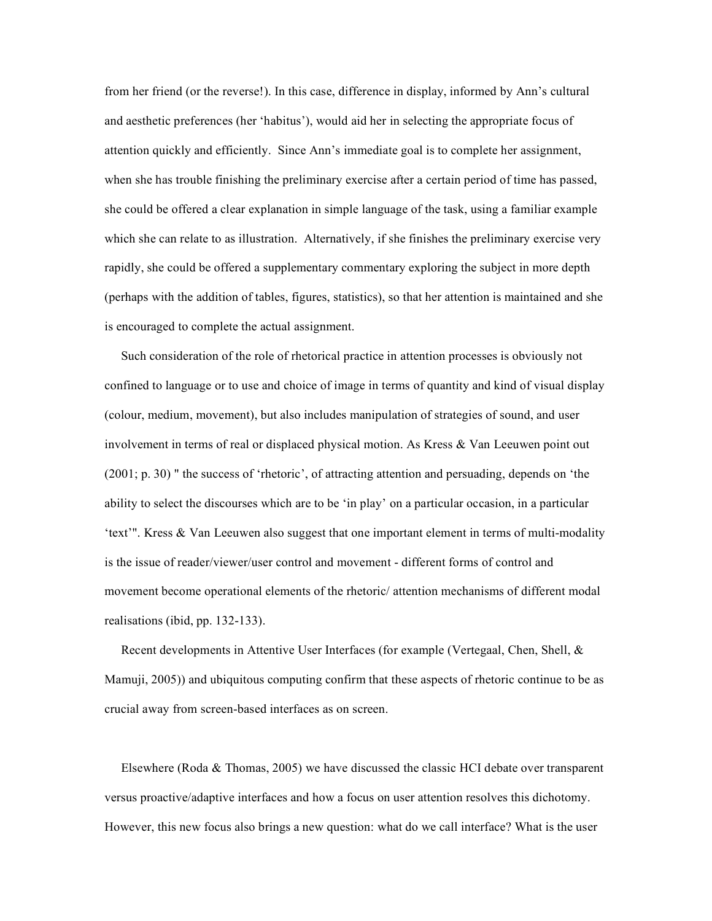from her friend (or the reverse!). In this case, difference in display, informed by Ann's cultural and aesthetic preferences (her 'habitus'), would aid her in selecting the appropriate focus of attention quickly and efficiently. Since Ann's immediate goal is to complete her assignment, when she has trouble finishing the preliminary exercise after a certain period of time has passed, she could be offered a clear explanation in simple language of the task, using a familiar example which she can relate to as illustration. Alternatively, if she finishes the preliminary exercise very rapidly, she could be offered a supplementary commentary exploring the subject in more depth (perhaps with the addition of tables, figures, statistics), so that her attention is maintained and she is encouraged to complete the actual assignment.

Such consideration of the role of rhetorical practice in attention processes is obviously not confined to language or to use and choice of image in terms of quantity and kind of visual display (colour, medium, movement), but also includes manipulation of strategies of sound, and user involvement in terms of real or displaced physical motion. As Kress & Van Leeuwen point out (2001; p. 30) " the success of 'rhetoric', of attracting attention and persuading, depends on 'the ability to select the discourses which are to be 'in play' on a particular occasion, in a particular 'text'". Kress & Van Leeuwen also suggest that one important element in terms of multi-modality is the issue of reader/viewer/user control and movement - different forms of control and movement become operational elements of the rhetoric/ attention mechanisms of different modal realisations (ibid, pp. 132-133).

Recent developments in Attentive User Interfaces (for example (Vertegaal, Chen, Shell, & Mamuji, 2005)) and ubiquitous computing confirm that these aspects of rhetoric continue to be as crucial away from screen-based interfaces as on screen.

Elsewhere (Roda & Thomas, 2005) we have discussed the classic HCI debate over transparent versus proactive/adaptive interfaces and how a focus on user attention resolves this dichotomy. However, this new focus also brings a new question: what do we call interface? What is the user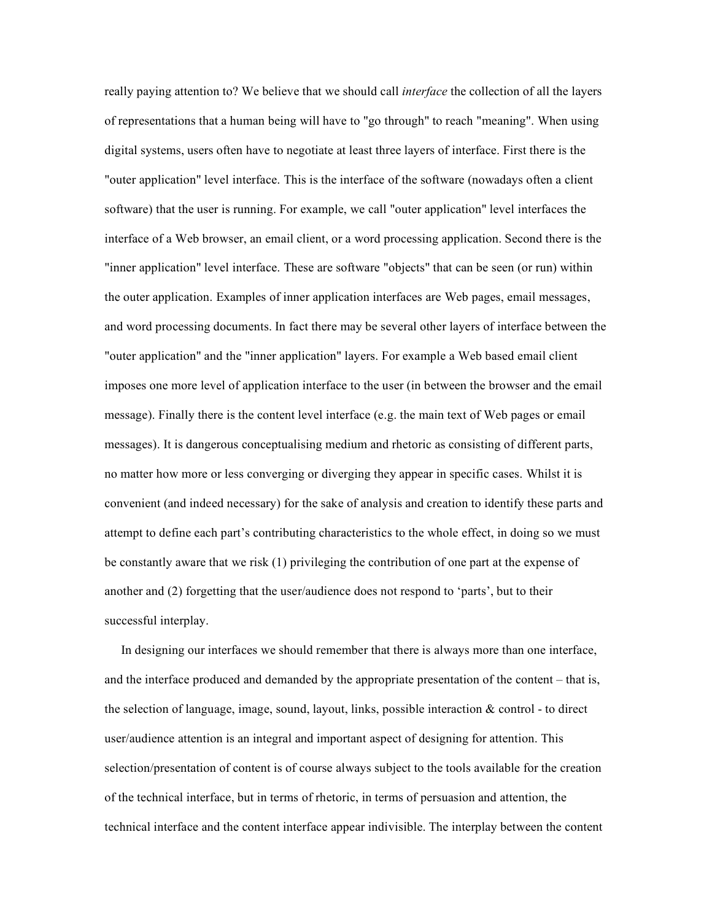really paying attention to? We believe that we should call *interface* the collection of all the layers of representations that a human being will have to "go through" to reach "meaning". When using digital systems, users often have to negotiate at least three layers of interface. First there is the "outer application" level interface. This is the interface of the software (nowadays often a client software) that the user is running. For example, we call "outer application" level interfaces the interface of a Web browser, an email client, or a word processing application. Second there is the "inner application" level interface. These are software "objects" that can be seen (or run) within the outer application. Examples of inner application interfaces are Web pages, email messages, and word processing documents. In fact there may be several other layers of interface between the "outer application" and the "inner application" layers. For example a Web based email client imposes one more level of application interface to the user (in between the browser and the email message). Finally there is the content level interface (e.g. the main text of Web pages or email messages). It is dangerous conceptualising medium and rhetoric as consisting of different parts, no matter how more or less converging or diverging they appear in specific cases. Whilst it is convenient (and indeed necessary) for the sake of analysis and creation to identify these parts and attempt to define each part's contributing characteristics to the whole effect, in doing so we must be constantly aware that we risk (1) privileging the contribution of one part at the expense of another and (2) forgetting that the user/audience does not respond to 'parts', but to their successful interplay.

In designing our interfaces we should remember that there is always more than one interface, and the interface produced and demanded by the appropriate presentation of the content – that is, the selection of language, image, sound, layout, links, possible interaction  $\&$  control - to direct user/audience attention is an integral and important aspect of designing for attention. This selection/presentation of content is of course always subject to the tools available for the creation of the technical interface, but in terms of rhetoric, in terms of persuasion and attention, the technical interface and the content interface appear indivisible. The interplay between the content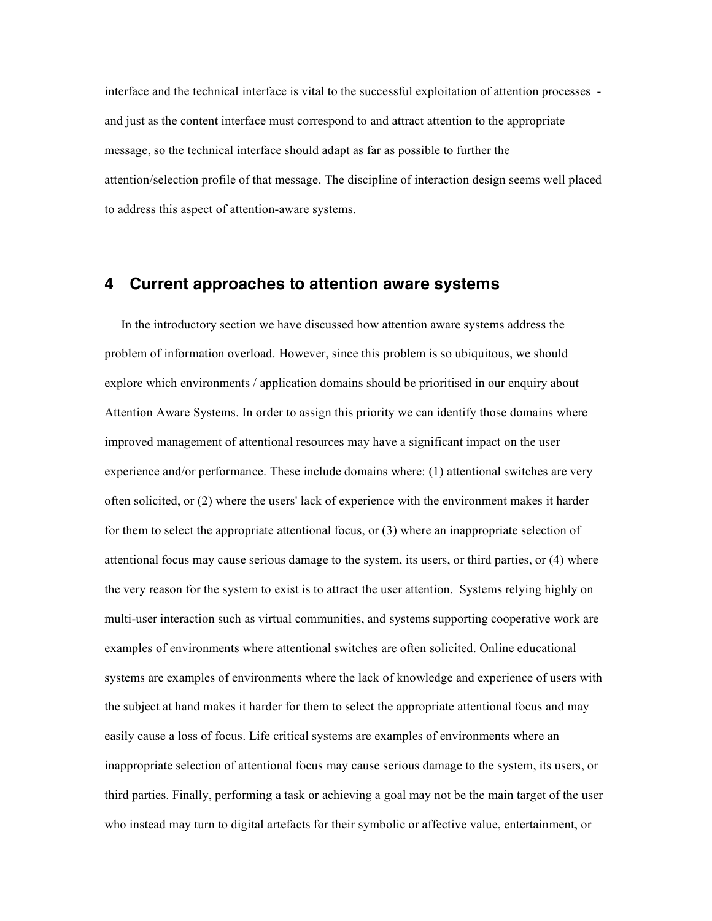interface and the technical interface is vital to the successful exploitation of attention processes and just as the content interface must correspond to and attract attention to the appropriate message, so the technical interface should adapt as far as possible to further the attention/selection profile of that message. The discipline of interaction design seems well placed to address this aspect of attention-aware systems.

# **4 Current approaches to attention aware systems**

In the introductory section we have discussed how attention aware systems address the problem of information overload. However, since this problem is so ubiquitous, we should explore which environments / application domains should be prioritised in our enquiry about Attention Aware Systems. In order to assign this priority we can identify those domains where improved management of attentional resources may have a significant impact on the user experience and/or performance. These include domains where: (1) attentional switches are very often solicited, or (2) where the users' lack of experience with the environment makes it harder for them to select the appropriate attentional focus, or (3) where an inappropriate selection of attentional focus may cause serious damage to the system, its users, or third parties, or (4) where the very reason for the system to exist is to attract the user attention. Systems relying highly on multi-user interaction such as virtual communities, and systems supporting cooperative work are examples of environments where attentional switches are often solicited. Online educational systems are examples of environments where the lack of knowledge and experience of users with the subject at hand makes it harder for them to select the appropriate attentional focus and may easily cause a loss of focus. Life critical systems are examples of environments where an inappropriate selection of attentional focus may cause serious damage to the system, its users, or third parties. Finally, performing a task or achieving a goal may not be the main target of the user who instead may turn to digital artefacts for their symbolic or affective value, entertainment, or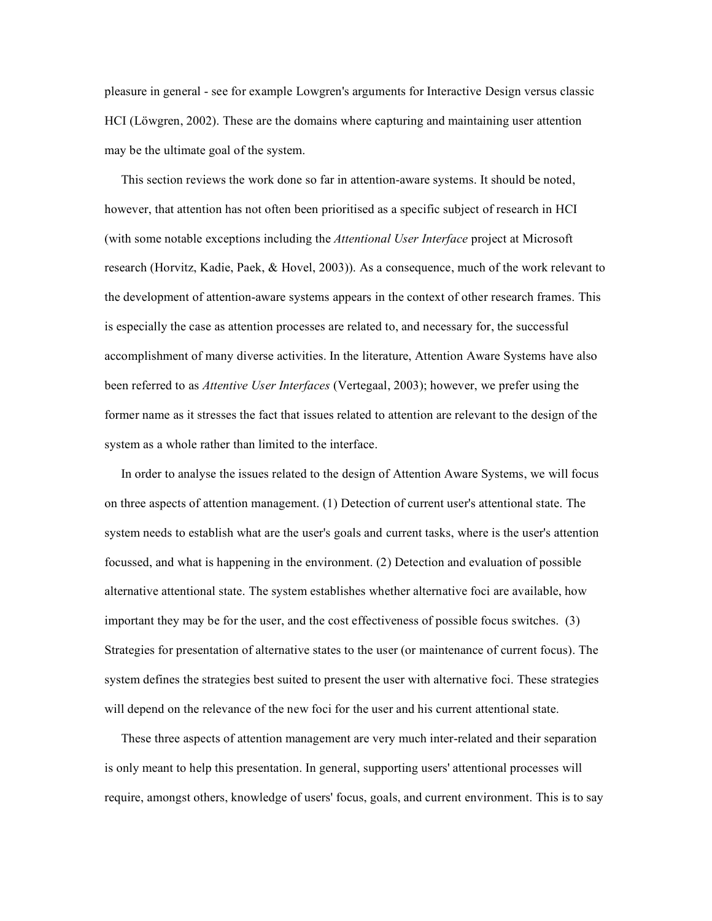pleasure in general - see for example Lowgren's arguments for Interactive Design versus classic HCI (Löwgren, 2002). These are the domains where capturing and maintaining user attention may be the ultimate goal of the system.

This section reviews the work done so far in attention-aware systems. It should be noted, however, that attention has not often been prioritised as a specific subject of research in HCI (with some notable exceptions including the *Attentional User Interface* project at Microsoft research (Horvitz, Kadie, Paek, & Hovel, 2003)). As a consequence, much of the work relevant to the development of attention-aware systems appears in the context of other research frames. This is especially the case as attention processes are related to, and necessary for, the successful accomplishment of many diverse activities. In the literature, Attention Aware Systems have also been referred to as *Attentive User Interfaces* (Vertegaal, 2003); however, we prefer using the former name as it stresses the fact that issues related to attention are relevant to the design of the system as a whole rather than limited to the interface.

In order to analyse the issues related to the design of Attention Aware Systems, we will focus on three aspects of attention management. (1) Detection of current user's attentional state. The system needs to establish what are the user's goals and current tasks, where is the user's attention focussed, and what is happening in the environment. (2) Detection and evaluation of possible alternative attentional state. The system establishes whether alternative foci are available, how important they may be for the user, and the cost effectiveness of possible focus switches. (3) Strategies for presentation of alternative states to the user (or maintenance of current focus). The system defines the strategies best suited to present the user with alternative foci. These strategies will depend on the relevance of the new foci for the user and his current attentional state.

These three aspects of attention management are very much inter-related and their separation is only meant to help this presentation. In general, supporting users' attentional processes will require, amongst others, knowledge of users' focus, goals, and current environment. This is to say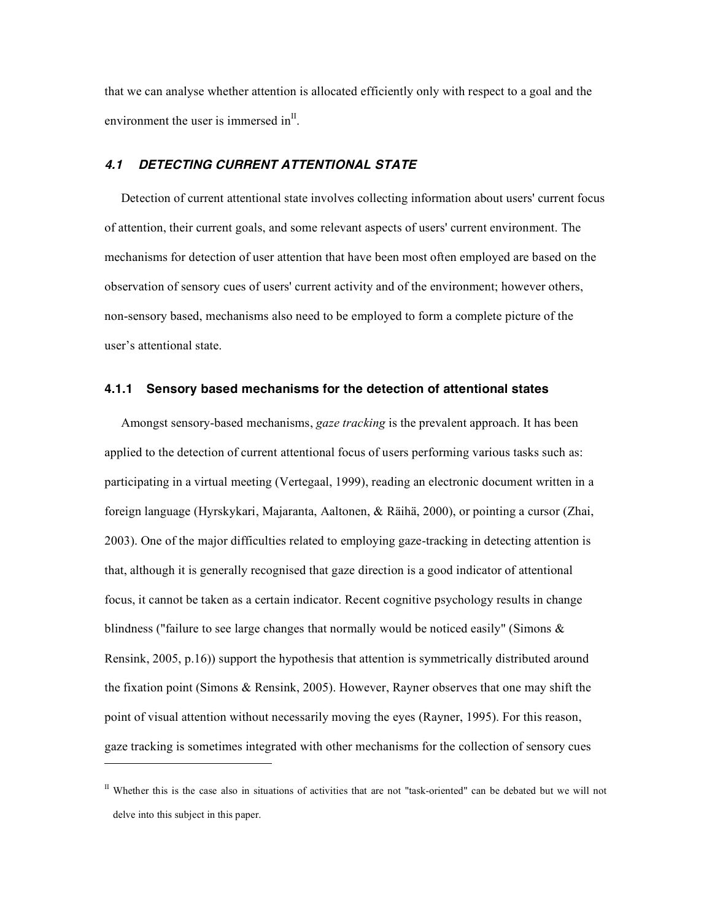that we can analyse whether attention is allocated efficiently only with respect to a goal and the environment the user is immersed in<sup>II</sup>.

# **4.1 DETECTING CURRENT ATTENTIONAL STATE**

Detection of current attentional state involves collecting information about users' current focus of attention, their current goals, and some relevant aspects of users' current environment. The mechanisms for detection of user attention that have been most often employed are based on the observation of sensory cues of users' current activity and of the environment; however others, non-sensory based, mechanisms also need to be employed to form a complete picture of the user's attentional state.

#### **4.1.1 Sensory based mechanisms for the detection of attentional states**

Amongst sensory-based mechanisms, *gaze tracking* is the prevalent approach. It has been applied to the detection of current attentional focus of users performing various tasks such as: participating in a virtual meeting (Vertegaal, 1999), reading an electronic document written in a foreign language (Hyrskykari, Majaranta, Aaltonen, & Räihä, 2000), or pointing a cursor (Zhai, 2003). One of the major difficulties related to employing gaze-tracking in detecting attention is that, although it is generally recognised that gaze direction is a good indicator of attentional focus, it cannot be taken as a certain indicator. Recent cognitive psychology results in change blindness ("failure to see large changes that normally would be noticed easily" (Simons  $\&$ Rensink, 2005, p.16)) support the hypothesis that attention is symmetrically distributed around the fixation point (Simons & Rensink, 2005). However, Rayner observes that one may shift the point of visual attention without necessarily moving the eyes (Rayner, 1995). For this reason, gaze tracking is sometimes integrated with other mechanisms for the collection of sensory cues

l

 $\textsuperscript{II}$  Whether this is the case also in situations of activities that are not "task-oriented" can be debated but we will not delve into this subject in this paper.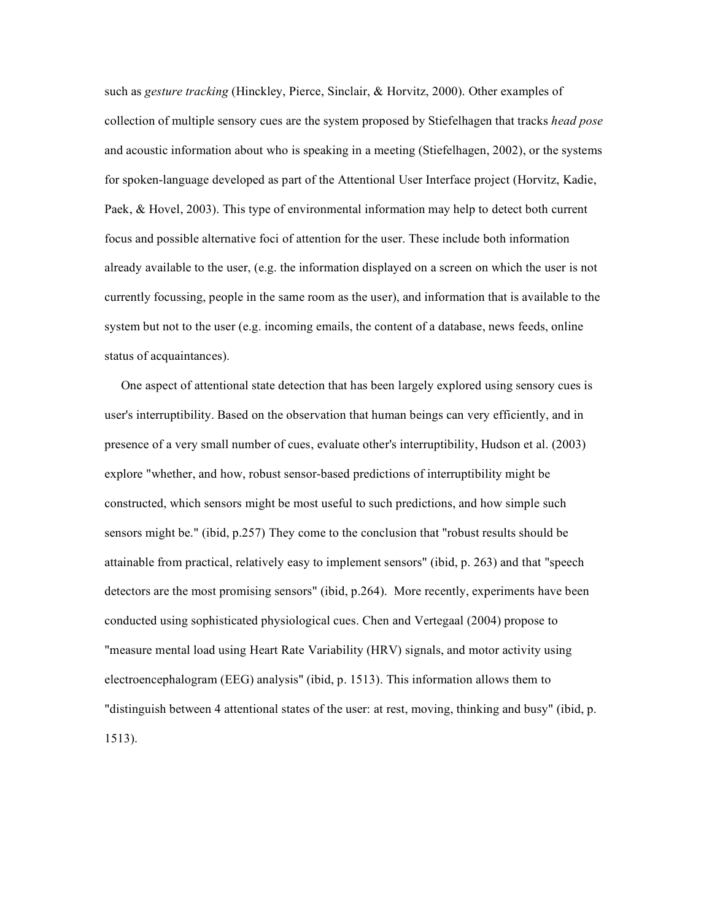such as *gesture tracking* (Hinckley, Pierce, Sinclair, & Horvitz, 2000). Other examples of collection of multiple sensory cues are the system proposed by Stiefelhagen that tracks *head pose* and acoustic information about who is speaking in a meeting (Stiefelhagen, 2002), or the systems for spoken-language developed as part of the Attentional User Interface project (Horvitz, Kadie, Paek, & Hovel, 2003). This type of environmental information may help to detect both current focus and possible alternative foci of attention for the user. These include both information already available to the user, (e.g. the information displayed on a screen on which the user is not currently focussing, people in the same room as the user), and information that is available to the system but not to the user (e.g. incoming emails, the content of a database, news feeds, online status of acquaintances).

One aspect of attentional state detection that has been largely explored using sensory cues is user's interruptibility. Based on the observation that human beings can very efficiently, and in presence of a very small number of cues, evaluate other's interruptibility, Hudson et al. (2003) explore "whether, and how, robust sensor-based predictions of interruptibility might be constructed, which sensors might be most useful to such predictions, and how simple such sensors might be." (ibid, p.257) They come to the conclusion that "robust results should be attainable from practical, relatively easy to implement sensors" (ibid, p. 263) and that "speech detectors are the most promising sensors" (ibid, p.264). More recently, experiments have been conducted using sophisticated physiological cues. Chen and Vertegaal (2004) propose to "measure mental load using Heart Rate Variability (HRV) signals, and motor activity using electroencephalogram (EEG) analysis" (ibid, p. 1513). This information allows them to "distinguish between 4 attentional states of the user: at rest, moving, thinking and busy" (ibid, p. 1513).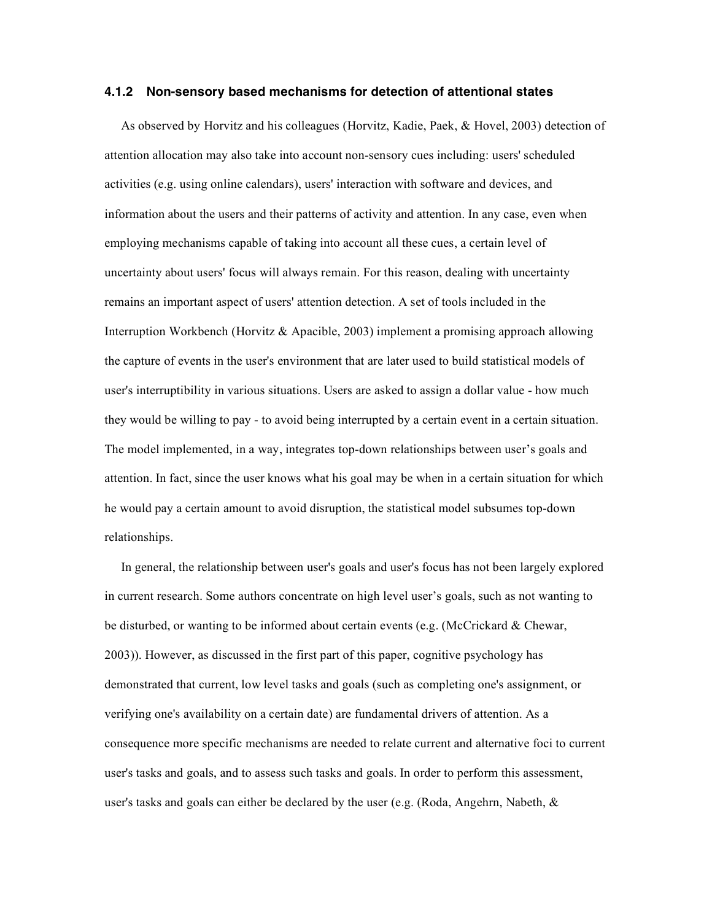#### **4.1.2 Non-sensory based mechanisms for detection of attentional states**

As observed by Horvitz and his colleagues (Horvitz, Kadie, Paek, & Hovel, 2003) detection of attention allocation may also take into account non-sensory cues including: users' scheduled activities (e.g. using online calendars), users' interaction with software and devices, and information about the users and their patterns of activity and attention. In any case, even when employing mechanisms capable of taking into account all these cues, a certain level of uncertainty about users' focus will always remain. For this reason, dealing with uncertainty remains an important aspect of users' attention detection. A set of tools included in the Interruption Workbench (Horvitz & Apacible, 2003) implement a promising approach allowing the capture of events in the user's environment that are later used to build statistical models of user's interruptibility in various situations. Users are asked to assign a dollar value - how much they would be willing to pay - to avoid being interrupted by a certain event in a certain situation. The model implemented, in a way, integrates top-down relationships between user's goals and attention. In fact, since the user knows what his goal may be when in a certain situation for which he would pay a certain amount to avoid disruption, the statistical model subsumes top-down relationships.

In general, the relationship between user's goals and user's focus has not been largely explored in current research. Some authors concentrate on high level user's goals, such as not wanting to be disturbed, or wanting to be informed about certain events (e.g. (McCrickard & Chewar, 2003)). However, as discussed in the first part of this paper, cognitive psychology has demonstrated that current, low level tasks and goals (such as completing one's assignment, or verifying one's availability on a certain date) are fundamental drivers of attention. As a consequence more specific mechanisms are needed to relate current and alternative foci to current user's tasks and goals, and to assess such tasks and goals. In order to perform this assessment, user's tasks and goals can either be declared by the user (e.g. (Roda, Angehrn, Nabeth,  $\&$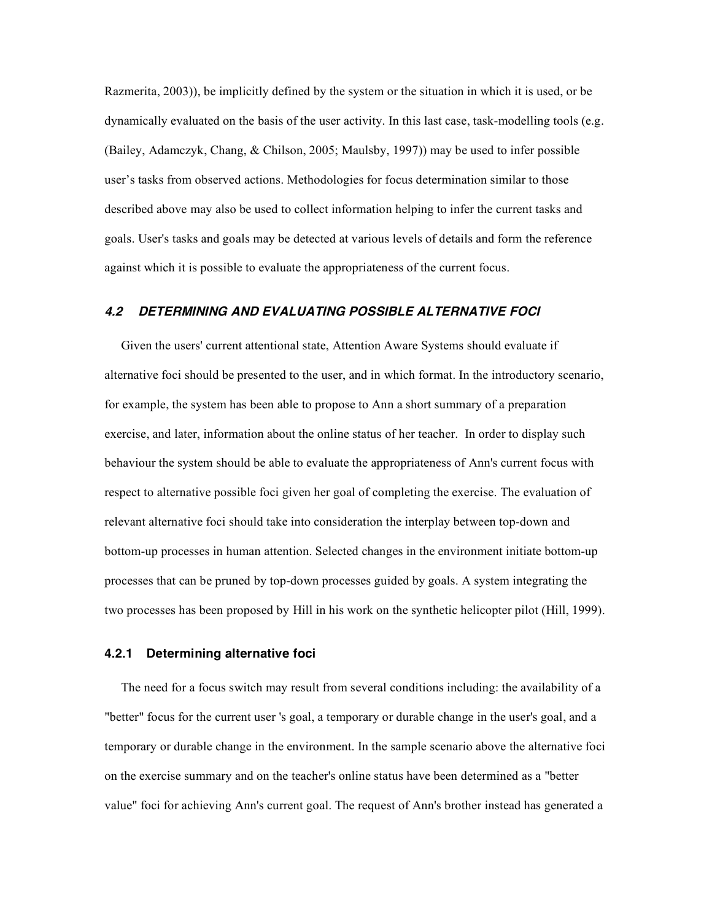Razmerita, 2003)), be implicitly defined by the system or the situation in which it is used, or be dynamically evaluated on the basis of the user activity. In this last case, task-modelling tools (e.g. (Bailey, Adamczyk, Chang, & Chilson, 2005; Maulsby, 1997)) may be used to infer possible user's tasks from observed actions. Methodologies for focus determination similar to those described above may also be used to collect information helping to infer the current tasks and goals. User's tasks and goals may be detected at various levels of details and form the reference against which it is possible to evaluate the appropriateness of the current focus.

## **4.2 DETERMINING AND EVALUATING POSSIBLE ALTERNATIVE FOCI**

Given the users' current attentional state, Attention Aware Systems should evaluate if alternative foci should be presented to the user, and in which format. In the introductory scenario, for example, the system has been able to propose to Ann a short summary of a preparation exercise, and later, information about the online status of her teacher. In order to display such behaviour the system should be able to evaluate the appropriateness of Ann's current focus with respect to alternative possible foci given her goal of completing the exercise. The evaluation of relevant alternative foci should take into consideration the interplay between top-down and bottom-up processes in human attention. Selected changes in the environment initiate bottom-up processes that can be pruned by top-down processes guided by goals. A system integrating the two processes has been proposed by Hill in his work on the synthetic helicopter pilot (Hill, 1999).

#### **4.2.1 Determining alternative foci**

The need for a focus switch may result from several conditions including: the availability of a "better" focus for the current user 's goal, a temporary or durable change in the user's goal, and a temporary or durable change in the environment. In the sample scenario above the alternative foci on the exercise summary and on the teacher's online status have been determined as a "better value" foci for achieving Ann's current goal. The request of Ann's brother instead has generated a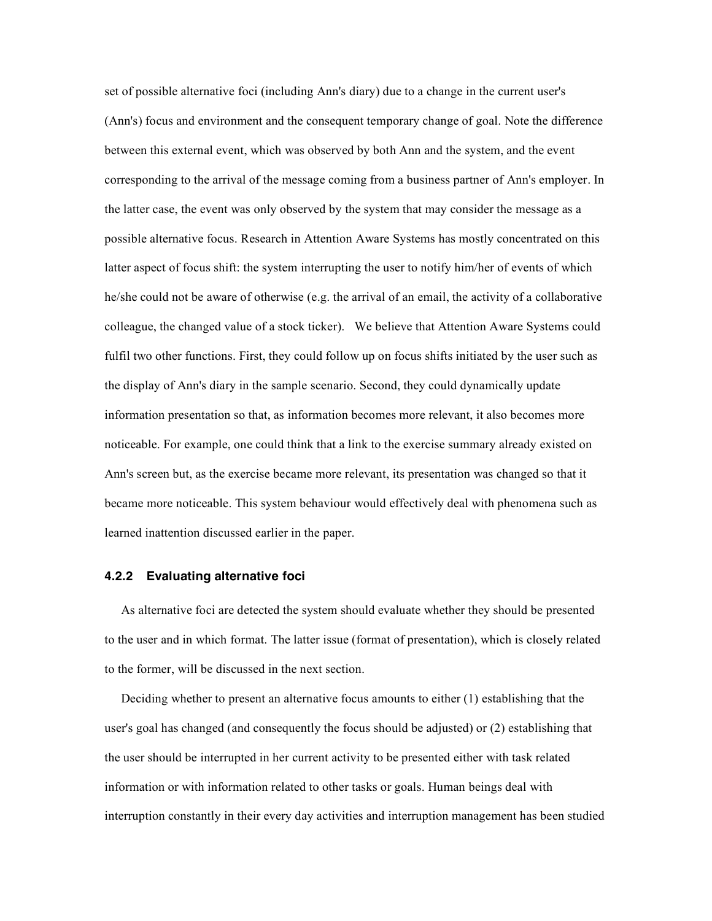set of possible alternative foci (including Ann's diary) due to a change in the current user's (Ann's) focus and environment and the consequent temporary change of goal. Note the difference between this external event, which was observed by both Ann and the system, and the event corresponding to the arrival of the message coming from a business partner of Ann's employer. In the latter case, the event was only observed by the system that may consider the message as a possible alternative focus. Research in Attention Aware Systems has mostly concentrated on this latter aspect of focus shift: the system interrupting the user to notify him/her of events of which he/she could not be aware of otherwise (e.g. the arrival of an email, the activity of a collaborative colleague, the changed value of a stock ticker). We believe that Attention Aware Systems could fulfil two other functions. First, they could follow up on focus shifts initiated by the user such as the display of Ann's diary in the sample scenario. Second, they could dynamically update information presentation so that, as information becomes more relevant, it also becomes more noticeable. For example, one could think that a link to the exercise summary already existed on Ann's screen but, as the exercise became more relevant, its presentation was changed so that it became more noticeable. This system behaviour would effectively deal with phenomena such as learned inattention discussed earlier in the paper.

# **4.2.2 Evaluating alternative foci**

As alternative foci are detected the system should evaluate whether they should be presented to the user and in which format. The latter issue (format of presentation), which is closely related to the former, will be discussed in the next section.

Deciding whether to present an alternative focus amounts to either (1) establishing that the user's goal has changed (and consequently the focus should be adjusted) or (2) establishing that the user should be interrupted in her current activity to be presented either with task related information or with information related to other tasks or goals. Human beings deal with interruption constantly in their every day activities and interruption management has been studied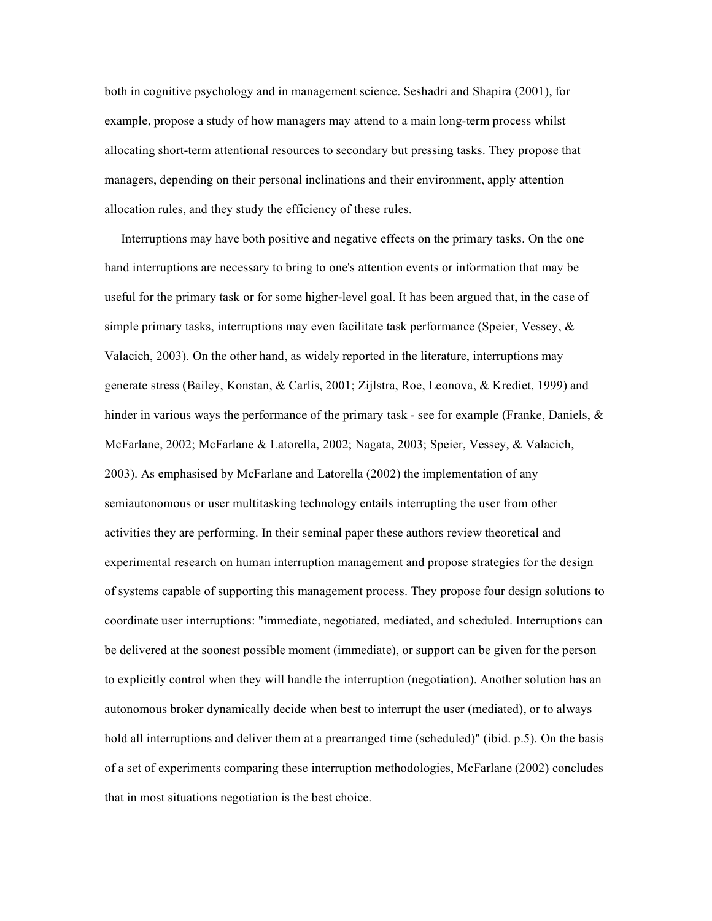both in cognitive psychology and in management science. Seshadri and Shapira (2001), for example, propose a study of how managers may attend to a main long-term process whilst allocating short-term attentional resources to secondary but pressing tasks. They propose that managers, depending on their personal inclinations and their environment, apply attention allocation rules, and they study the efficiency of these rules.

Interruptions may have both positive and negative effects on the primary tasks. On the one hand interruptions are necessary to bring to one's attention events or information that may be useful for the primary task or for some higher-level goal. It has been argued that, in the case of simple primary tasks, interruptions may even facilitate task performance (Speier, Vessey, & Valacich, 2003). On the other hand, as widely reported in the literature, interruptions may generate stress (Bailey, Konstan, & Carlis, 2001; Zijlstra, Roe, Leonova, & Krediet, 1999) and hinder in various ways the performance of the primary task - see for example (Franke, Daniels,  $\&$ McFarlane, 2002; McFarlane & Latorella, 2002; Nagata, 2003; Speier, Vessey, & Valacich, 2003). As emphasised by McFarlane and Latorella (2002) the implementation of any semiautonomous or user multitasking technology entails interrupting the user from other activities they are performing. In their seminal paper these authors review theoretical and experimental research on human interruption management and propose strategies for the design of systems capable of supporting this management process. They propose four design solutions to coordinate user interruptions: "immediate, negotiated, mediated, and scheduled. Interruptions can be delivered at the soonest possible moment (immediate), or support can be given for the person to explicitly control when they will handle the interruption (negotiation). Another solution has an autonomous broker dynamically decide when best to interrupt the user (mediated), or to always hold all interruptions and deliver them at a prearranged time (scheduled)" (ibid. p.5). On the basis of a set of experiments comparing these interruption methodologies, McFarlane (2002) concludes that in most situations negotiation is the best choice.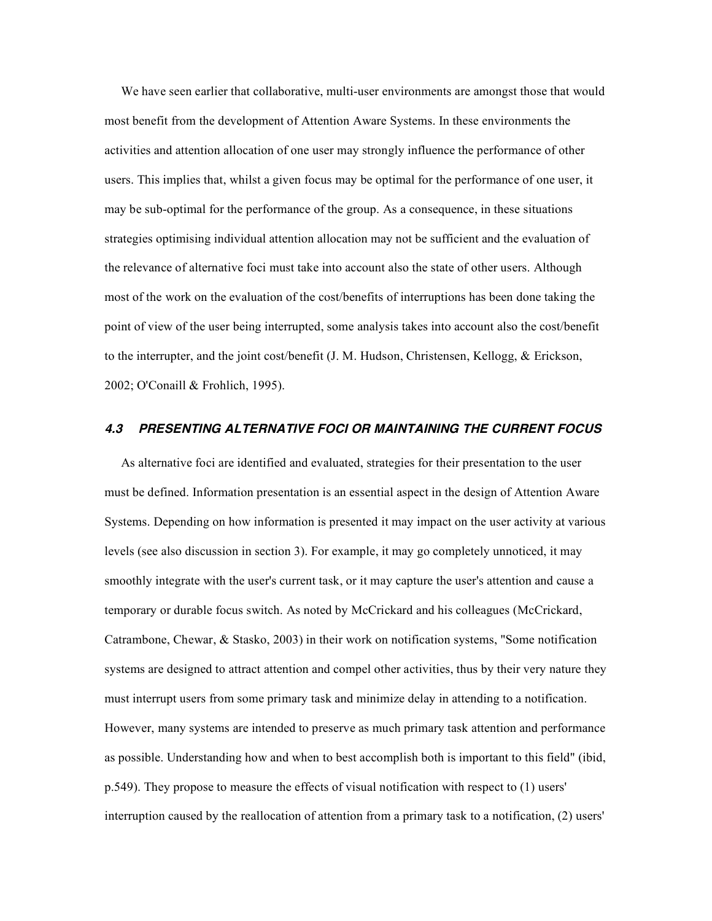We have seen earlier that collaborative, multi-user environments are amongst those that would most benefit from the development of Attention Aware Systems. In these environments the activities and attention allocation of one user may strongly influence the performance of other users. This implies that, whilst a given focus may be optimal for the performance of one user, it may be sub-optimal for the performance of the group. As a consequence, in these situations strategies optimising individual attention allocation may not be sufficient and the evaluation of the relevance of alternative foci must take into account also the state of other users. Although most of the work on the evaluation of the cost/benefits of interruptions has been done taking the point of view of the user being interrupted, some analysis takes into account also the cost/benefit to the interrupter, and the joint cost/benefit (J. M. Hudson, Christensen, Kellogg, & Erickson, 2002; O'Conaill & Frohlich, 1995).

# **4.3 PRESENTING ALTERNATIVE FOCI OR MAINTAINING THE CURRENT FOCUS**

As alternative foci are identified and evaluated, strategies for their presentation to the user must be defined. Information presentation is an essential aspect in the design of Attention Aware Systems. Depending on how information is presented it may impact on the user activity at various levels (see also discussion in section 3). For example, it may go completely unnoticed, it may smoothly integrate with the user's current task, or it may capture the user's attention and cause a temporary or durable focus switch. As noted by McCrickard and his colleagues (McCrickard, Catrambone, Chewar, & Stasko, 2003) in their work on notification systems, "Some notification systems are designed to attract attention and compel other activities, thus by their very nature they must interrupt users from some primary task and minimize delay in attending to a notification. However, many systems are intended to preserve as much primary task attention and performance as possible. Understanding how and when to best accomplish both is important to this field" (ibid, p.549). They propose to measure the effects of visual notification with respect to (1) users' interruption caused by the reallocation of attention from a primary task to a notification, (2) users'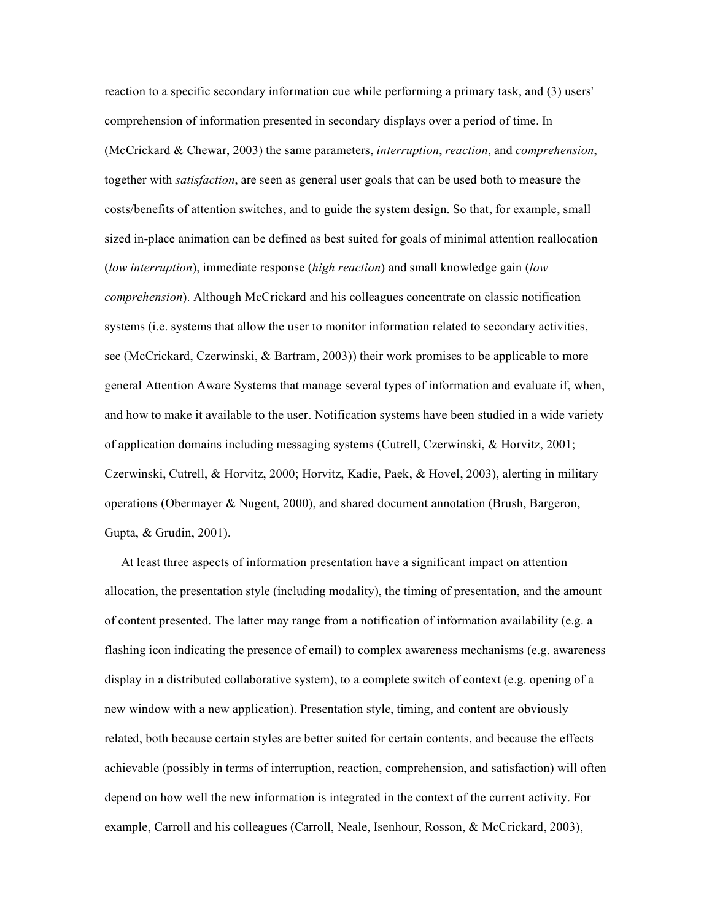reaction to a specific secondary information cue while performing a primary task, and (3) users' comprehension of information presented in secondary displays over a period of time. In (McCrickard & Chewar, 2003) the same parameters, *interruption*, *reaction*, and *comprehension*, together with *satisfaction*, are seen as general user goals that can be used both to measure the costs/benefits of attention switches, and to guide the system design. So that, for example, small sized in-place animation can be defined as best suited for goals of minimal attention reallocation (*low interruption*), immediate response (*high reaction*) and small knowledge gain (*low comprehension*). Although McCrickard and his colleagues concentrate on classic notification systems (i.e. systems that allow the user to monitor information related to secondary activities, see (McCrickard, Czerwinski, & Bartram, 2003)) their work promises to be applicable to more general Attention Aware Systems that manage several types of information and evaluate if, when, and how to make it available to the user. Notification systems have been studied in a wide variety of application domains including messaging systems (Cutrell, Czerwinski, & Horvitz, 2001; Czerwinski, Cutrell, & Horvitz, 2000; Horvitz, Kadie, Paek, & Hovel, 2003), alerting in military operations (Obermayer & Nugent, 2000), and shared document annotation (Brush, Bargeron, Gupta, & Grudin, 2001).

At least three aspects of information presentation have a significant impact on attention allocation, the presentation style (including modality), the timing of presentation, and the amount of content presented. The latter may range from a notification of information availability (e.g. a flashing icon indicating the presence of email) to complex awareness mechanisms (e.g. awareness display in a distributed collaborative system), to a complete switch of context (e.g. opening of a new window with a new application). Presentation style, timing, and content are obviously related, both because certain styles are better suited for certain contents, and because the effects achievable (possibly in terms of interruption, reaction, comprehension, and satisfaction) will often depend on how well the new information is integrated in the context of the current activity. For example, Carroll and his colleagues (Carroll, Neale, Isenhour, Rosson, & McCrickard, 2003),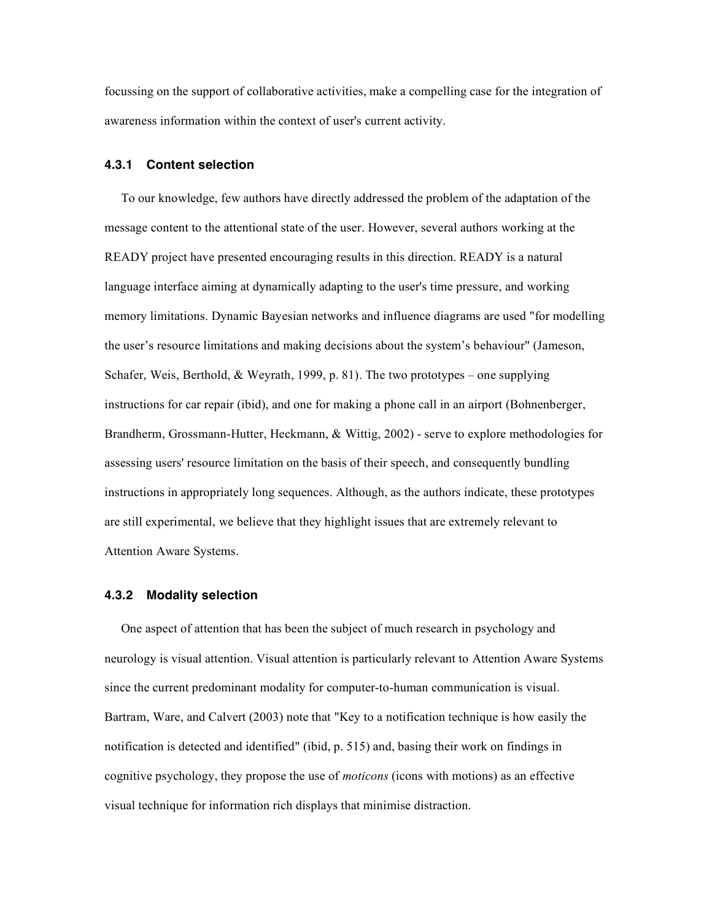focussing on the support of collaborative activities, make a compelling case for the integration of awareness information within the context of user's current activity.

#### **4.3.1 Content selection**

To our knowledge, few authors have directly addressed the problem of the adaptation of the message content to the attentional state of the user. However, several authors working at the READY project have presented encouraging results in this direction. READY is a natural language interface aiming at dynamically adapting to the user's time pressure, and working memory limitations. Dynamic Bayesian networks and influence diagrams are used "for modelling the user's resource limitations and making decisions about the system's behaviour" (Jameson, Schafer, Weis, Berthold, & Weyrath, 1999, p. 81). The two prototypes – one supplying instructions for car repair (ibid), and one for making a phone call in an airport (Bohnenberger, Brandherm, Grossmann-Hutter, Heckmann, & Wittig, 2002) - serve to explore methodologies for assessing users' resource limitation on the basis of their speech, and consequently bundling instructions in appropriately long sequences. Although, as the authors indicate, these prototypes are still experimental, we believe that they highlight issues that are extremely relevant to Attention Aware Systems.

### **4.3.2 Modality selection**

One aspect of attention that has been the subject of much research in psychology and neurology is visual attention. Visual attention is particularly relevant to Attention Aware Systems since the current predominant modality for computer-to-human communication is visual. Bartram, Ware, and Calvert (2003) note that "Key to a notification technique is how easily the notification is detected and identified" (ibid, p. 515) and, basing their work on findings in cognitive psychology, they propose the use of *moticons* (icons with motions) as an effective visual technique for information rich displays that minimise distraction.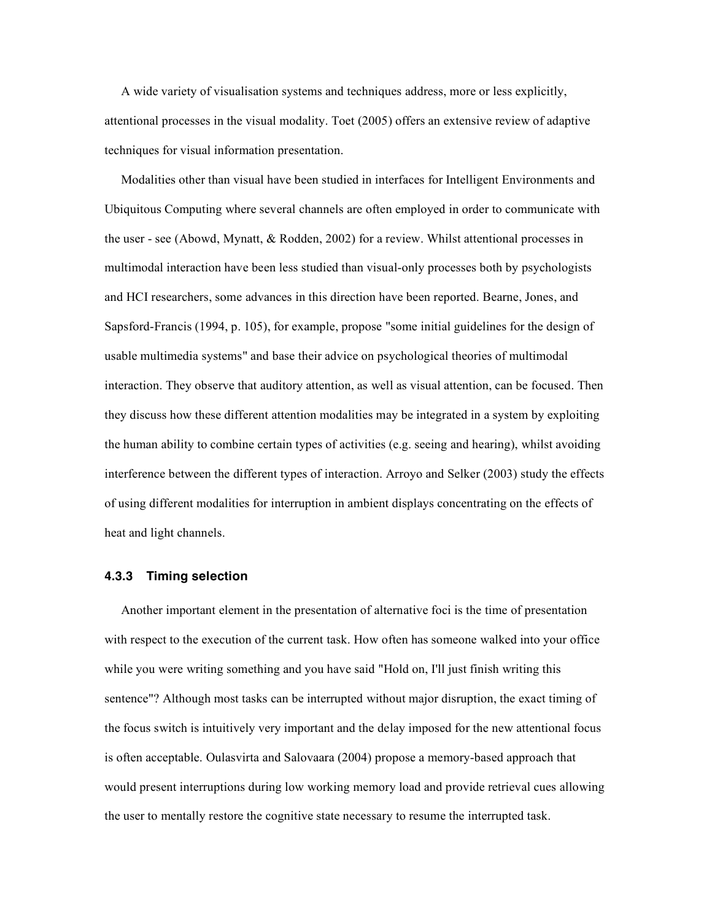A wide variety of visualisation systems and techniques address, more or less explicitly, attentional processes in the visual modality. Toet (2005) offers an extensive review of adaptive techniques for visual information presentation.

Modalities other than visual have been studied in interfaces for Intelligent Environments and Ubiquitous Computing where several channels are often employed in order to communicate with the user - see (Abowd, Mynatt, & Rodden, 2002) for a review. Whilst attentional processes in multimodal interaction have been less studied than visual-only processes both by psychologists and HCI researchers, some advances in this direction have been reported. Bearne, Jones, and Sapsford-Francis (1994, p. 105), for example, propose "some initial guidelines for the design of usable multimedia systems" and base their advice on psychological theories of multimodal interaction. They observe that auditory attention, as well as visual attention, can be focused. Then they discuss how these different attention modalities may be integrated in a system by exploiting the human ability to combine certain types of activities (e.g. seeing and hearing), whilst avoiding interference between the different types of interaction. Arroyo and Selker (2003) study the effects of using different modalities for interruption in ambient displays concentrating on the effects of heat and light channels.

#### **4.3.3 Timing selection**

Another important element in the presentation of alternative foci is the time of presentation with respect to the execution of the current task. How often has someone walked into your office while you were writing something and you have said "Hold on, I'll just finish writing this sentence"? Although most tasks can be interrupted without major disruption, the exact timing of the focus switch is intuitively very important and the delay imposed for the new attentional focus is often acceptable. Oulasvirta and Salovaara (2004) propose a memory-based approach that would present interruptions during low working memory load and provide retrieval cues allowing the user to mentally restore the cognitive state necessary to resume the interrupted task.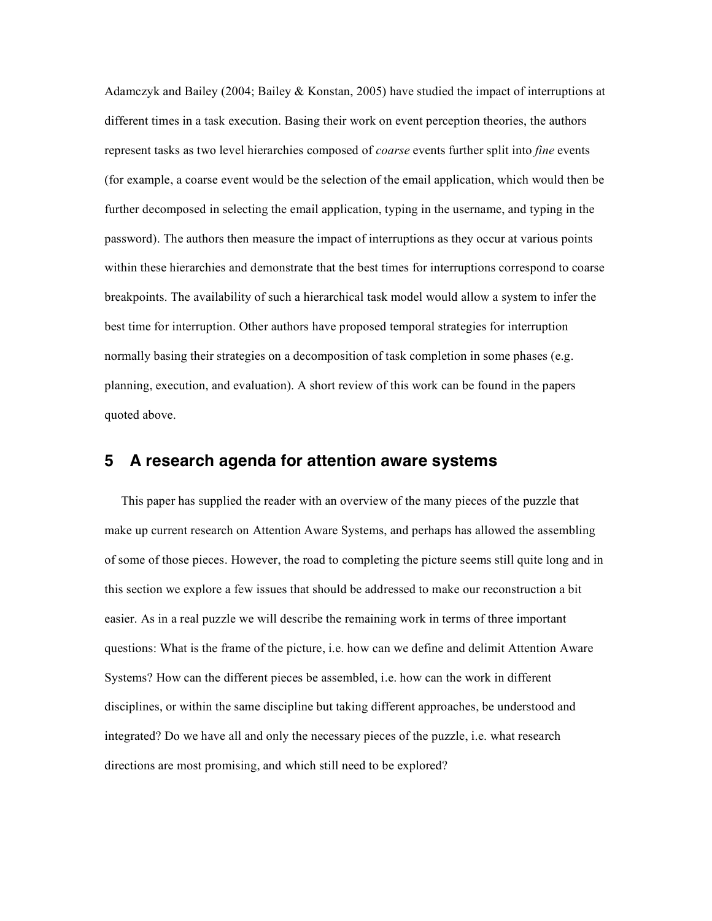Adamczyk and Bailey (2004; Bailey & Konstan, 2005) have studied the impact of interruptions at different times in a task execution. Basing their work on event perception theories, the authors represent tasks as two level hierarchies composed of *coarse* events further split into *fine* events (for example, a coarse event would be the selection of the email application, which would then be further decomposed in selecting the email application, typing in the username, and typing in the password). The authors then measure the impact of interruptions as they occur at various points within these hierarchies and demonstrate that the best times for interruptions correspond to coarse breakpoints. The availability of such a hierarchical task model would allow a system to infer the best time for interruption. Other authors have proposed temporal strategies for interruption normally basing their strategies on a decomposition of task completion in some phases (e.g. planning, execution, and evaluation). A short review of this work can be found in the papers quoted above.

# **5 A research agenda for attention aware systems**

This paper has supplied the reader with an overview of the many pieces of the puzzle that make up current research on Attention Aware Systems, and perhaps has allowed the assembling of some of those pieces. However, the road to completing the picture seems still quite long and in this section we explore a few issues that should be addressed to make our reconstruction a bit easier. As in a real puzzle we will describe the remaining work in terms of three important questions: What is the frame of the picture, i.e. how can we define and delimit Attention Aware Systems? How can the different pieces be assembled, i.e. how can the work in different disciplines, or within the same discipline but taking different approaches, be understood and integrated? Do we have all and only the necessary pieces of the puzzle, i.e. what research directions are most promising, and which still need to be explored?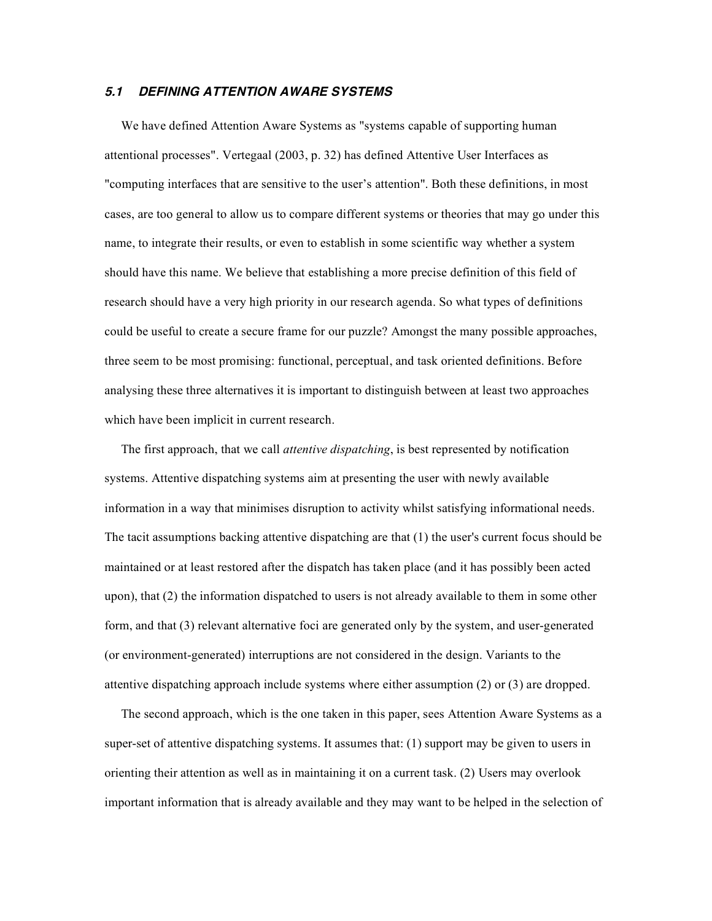## **5.1 DEFINING ATTENTION AWARE SYSTEMS**

We have defined Attention Aware Systems as "systems capable of supporting human attentional processes". Vertegaal (2003, p. 32) has defined Attentive User Interfaces as "computing interfaces that are sensitive to the user's attention". Both these definitions, in most cases, are too general to allow us to compare different systems or theories that may go under this name, to integrate their results, or even to establish in some scientific way whether a system should have this name. We believe that establishing a more precise definition of this field of research should have a very high priority in our research agenda. So what types of definitions could be useful to create a secure frame for our puzzle? Amongst the many possible approaches, three seem to be most promising: functional, perceptual, and task oriented definitions. Before analysing these three alternatives it is important to distinguish between at least two approaches which have been implicit in current research.

The first approach, that we call *attentive dispatching*, is best represented by notification systems. Attentive dispatching systems aim at presenting the user with newly available information in a way that minimises disruption to activity whilst satisfying informational needs. The tacit assumptions backing attentive dispatching are that (1) the user's current focus should be maintained or at least restored after the dispatch has taken place (and it has possibly been acted upon), that (2) the information dispatched to users is not already available to them in some other form, and that (3) relevant alternative foci are generated only by the system, and user-generated (or environment-generated) interruptions are not considered in the design. Variants to the attentive dispatching approach include systems where either assumption (2) or (3) are dropped.

The second approach, which is the one taken in this paper, sees Attention Aware Systems as a super-set of attentive dispatching systems. It assumes that: (1) support may be given to users in orienting their attention as well as in maintaining it on a current task. (2) Users may overlook important information that is already available and they may want to be helped in the selection of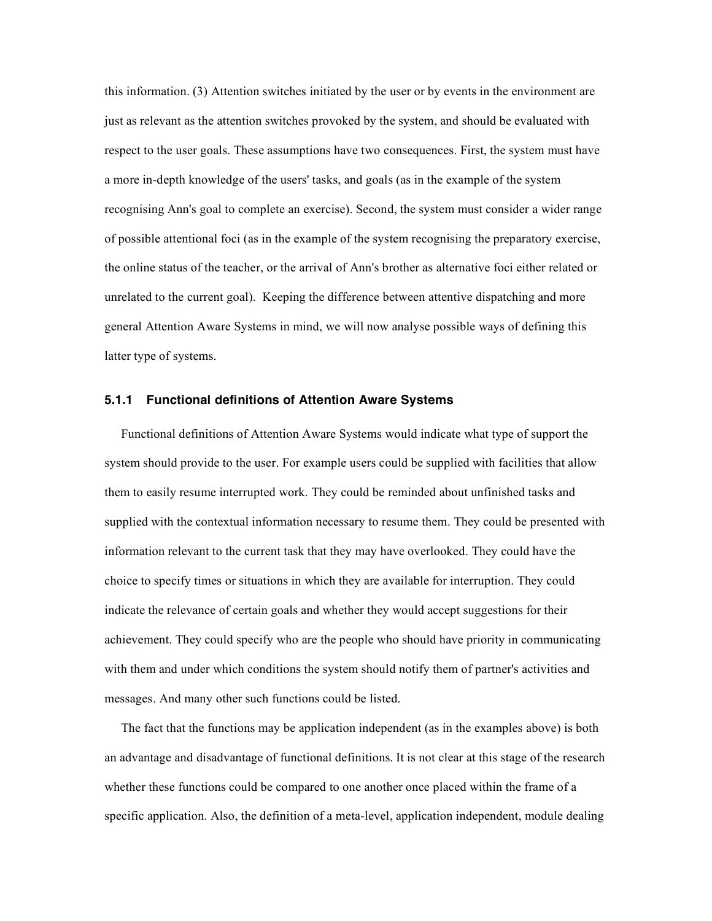this information. (3) Attention switches initiated by the user or by events in the environment are just as relevant as the attention switches provoked by the system, and should be evaluated with respect to the user goals. These assumptions have two consequences. First, the system must have a more in-depth knowledge of the users' tasks, and goals (as in the example of the system recognising Ann's goal to complete an exercise). Second, the system must consider a wider range of possible attentional foci (as in the example of the system recognising the preparatory exercise, the online status of the teacher, or the arrival of Ann's brother as alternative foci either related or unrelated to the current goal). Keeping the difference between attentive dispatching and more general Attention Aware Systems in mind, we will now analyse possible ways of defining this latter type of systems.

#### **5.1.1 Functional definitions of Attention Aware Systems**

Functional definitions of Attention Aware Systems would indicate what type of support the system should provide to the user. For example users could be supplied with facilities that allow them to easily resume interrupted work. They could be reminded about unfinished tasks and supplied with the contextual information necessary to resume them. They could be presented with information relevant to the current task that they may have overlooked. They could have the choice to specify times or situations in which they are available for interruption. They could indicate the relevance of certain goals and whether they would accept suggestions for their achievement. They could specify who are the people who should have priority in communicating with them and under which conditions the system should notify them of partner's activities and messages. And many other such functions could be listed.

The fact that the functions may be application independent (as in the examples above) is both an advantage and disadvantage of functional definitions. It is not clear at this stage of the research whether these functions could be compared to one another once placed within the frame of a specific application. Also, the definition of a meta-level, application independent, module dealing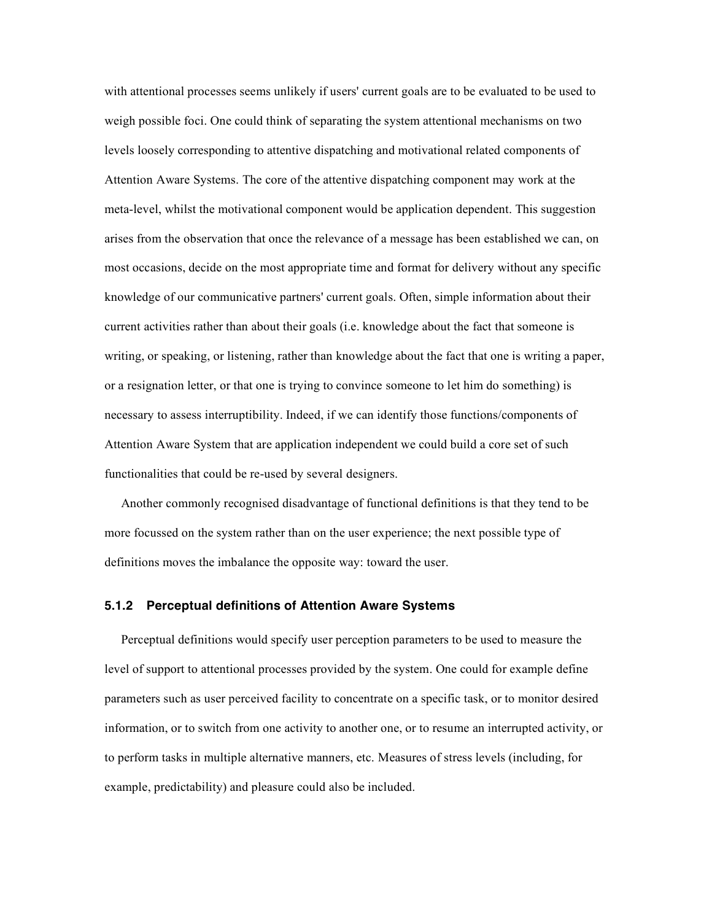with attentional processes seems unlikely if users' current goals are to be evaluated to be used to weigh possible foci. One could think of separating the system attentional mechanisms on two levels loosely corresponding to attentive dispatching and motivational related components of Attention Aware Systems. The core of the attentive dispatching component may work at the meta-level, whilst the motivational component would be application dependent. This suggestion arises from the observation that once the relevance of a message has been established we can, on most occasions, decide on the most appropriate time and format for delivery without any specific knowledge of our communicative partners' current goals. Often, simple information about their current activities rather than about their goals (i.e. knowledge about the fact that someone is writing, or speaking, or listening, rather than knowledge about the fact that one is writing a paper, or a resignation letter, or that one is trying to convince someone to let him do something) is necessary to assess interruptibility. Indeed, if we can identify those functions/components of Attention Aware System that are application independent we could build a core set of such functionalities that could be re-used by several designers.

Another commonly recognised disadvantage of functional definitions is that they tend to be more focussed on the system rather than on the user experience; the next possible type of definitions moves the imbalance the opposite way: toward the user.

#### **5.1.2 Perceptual definitions of Attention Aware Systems**

Perceptual definitions would specify user perception parameters to be used to measure the level of support to attentional processes provided by the system. One could for example define parameters such as user perceived facility to concentrate on a specific task, or to monitor desired information, or to switch from one activity to another one, or to resume an interrupted activity, or to perform tasks in multiple alternative manners, etc. Measures of stress levels (including, for example, predictability) and pleasure could also be included.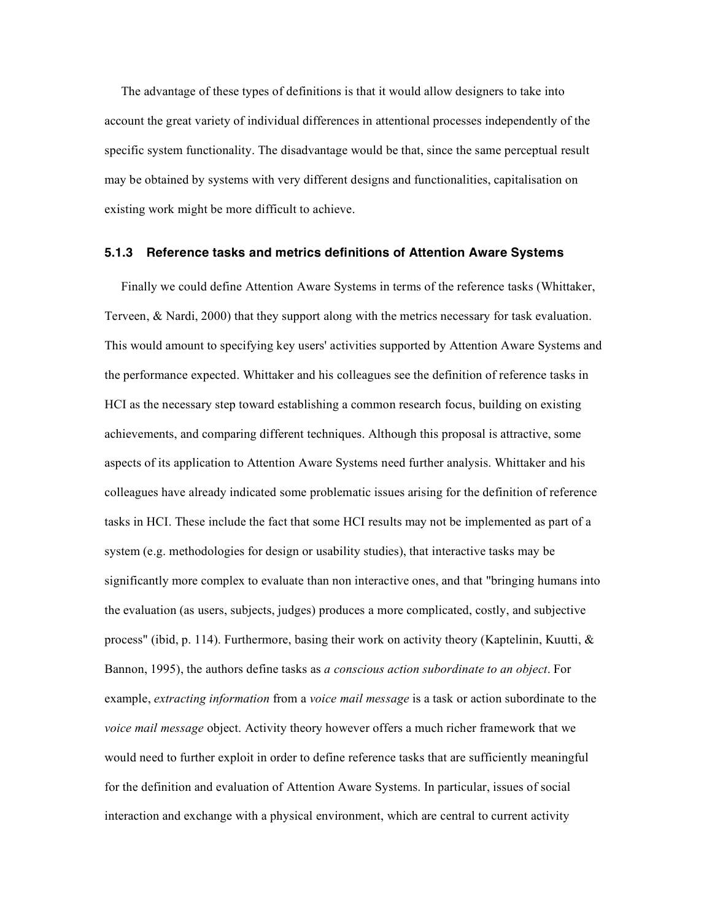The advantage of these types of definitions is that it would allow designers to take into account the great variety of individual differences in attentional processes independently of the specific system functionality. The disadvantage would be that, since the same perceptual result may be obtained by systems with very different designs and functionalities, capitalisation on existing work might be more difficult to achieve.

# **5.1.3 Reference tasks and metrics definitions of Attention Aware Systems**

Finally we could define Attention Aware Systems in terms of the reference tasks (Whittaker, Terveen, & Nardi, 2000) that they support along with the metrics necessary for task evaluation. This would amount to specifying key users' activities supported by Attention Aware Systems and the performance expected. Whittaker and his colleagues see the definition of reference tasks in HCI as the necessary step toward establishing a common research focus, building on existing achievements, and comparing different techniques. Although this proposal is attractive, some aspects of its application to Attention Aware Systems need further analysis. Whittaker and his colleagues have already indicated some problematic issues arising for the definition of reference tasks in HCI. These include the fact that some HCI results may not be implemented as part of a system (e.g. methodologies for design or usability studies), that interactive tasks may be significantly more complex to evaluate than non interactive ones, and that "bringing humans into the evaluation (as users, subjects, judges) produces a more complicated, costly, and subjective process" (ibid, p. 114). Furthermore, basing their work on activity theory (Kaptelinin, Kuutti, & Bannon, 1995), the authors define tasks as *a conscious action subordinate to an object*. For example, *extracting information* from a *voice mail message* is a task or action subordinate to the *voice mail message* object. Activity theory however offers a much richer framework that we would need to further exploit in order to define reference tasks that are sufficiently meaningful for the definition and evaluation of Attention Aware Systems. In particular, issues of social interaction and exchange with a physical environment, which are central to current activity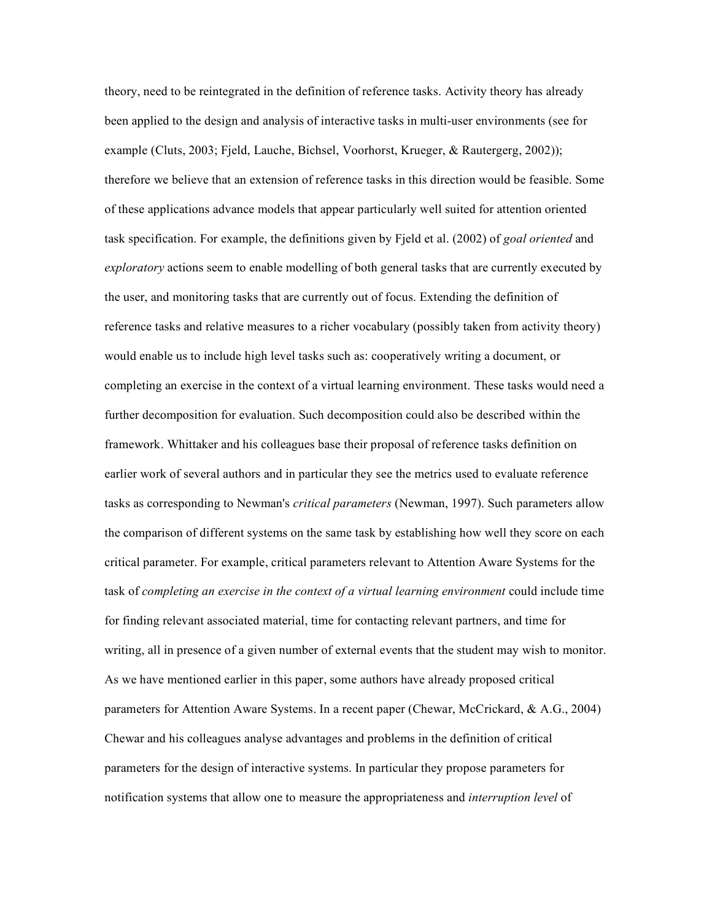theory, need to be reintegrated in the definition of reference tasks. Activity theory has already been applied to the design and analysis of interactive tasks in multi-user environments (see for example (Cluts, 2003; Fjeld, Lauche, Bichsel, Voorhorst, Krueger, & Rautergerg, 2002)); therefore we believe that an extension of reference tasks in this direction would be feasible. Some of these applications advance models that appear particularly well suited for attention oriented task specification. For example, the definitions given by Fjeld et al. (2002) of *goal oriented* and *exploratory* actions seem to enable modelling of both general tasks that are currently executed by the user, and monitoring tasks that are currently out of focus. Extending the definition of reference tasks and relative measures to a richer vocabulary (possibly taken from activity theory) would enable us to include high level tasks such as: cooperatively writing a document, or completing an exercise in the context of a virtual learning environment. These tasks would need a further decomposition for evaluation. Such decomposition could also be described within the framework. Whittaker and his colleagues base their proposal of reference tasks definition on earlier work of several authors and in particular they see the metrics used to evaluate reference tasks as corresponding to Newman's *critical parameters* (Newman, 1997). Such parameters allow the comparison of different systems on the same task by establishing how well they score on each critical parameter. For example, critical parameters relevant to Attention Aware Systems for the task of *completing an exercise in the context of a virtual learning environment* could include time for finding relevant associated material, time for contacting relevant partners, and time for writing, all in presence of a given number of external events that the student may wish to monitor. As we have mentioned earlier in this paper, some authors have already proposed critical parameters for Attention Aware Systems. In a recent paper (Chewar, McCrickard, & A.G., 2004) Chewar and his colleagues analyse advantages and problems in the definition of critical parameters for the design of interactive systems. In particular they propose parameters for notification systems that allow one to measure the appropriateness and *interruption level* of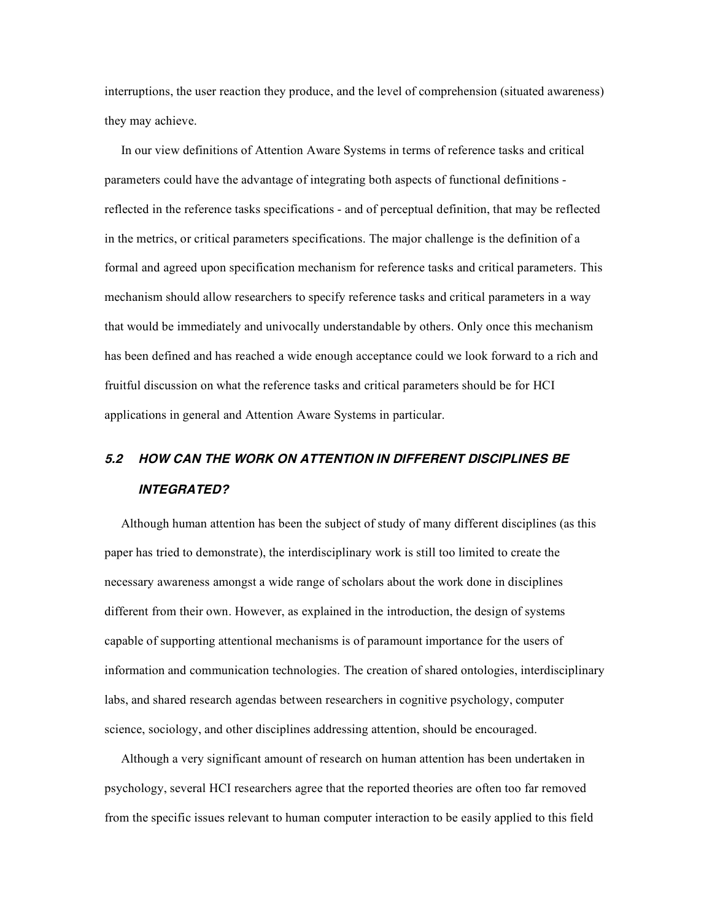interruptions, the user reaction they produce, and the level of comprehension (situated awareness) they may achieve.

In our view definitions of Attention Aware Systems in terms of reference tasks and critical parameters could have the advantage of integrating both aspects of functional definitions reflected in the reference tasks specifications - and of perceptual definition, that may be reflected in the metrics, or critical parameters specifications. The major challenge is the definition of a formal and agreed upon specification mechanism for reference tasks and critical parameters. This mechanism should allow researchers to specify reference tasks and critical parameters in a way that would be immediately and univocally understandable by others. Only once this mechanism has been defined and has reached a wide enough acceptance could we look forward to a rich and fruitful discussion on what the reference tasks and critical parameters should be for HCI applications in general and Attention Aware Systems in particular.

# **5.2 HOW CAN THE WORK ON ATTENTION IN DIFFERENT DISCIPLINES BE INTEGRATED?**

Although human attention has been the subject of study of many different disciplines (as this paper has tried to demonstrate), the interdisciplinary work is still too limited to create the necessary awareness amongst a wide range of scholars about the work done in disciplines different from their own. However, as explained in the introduction, the design of systems capable of supporting attentional mechanisms is of paramount importance for the users of information and communication technologies. The creation of shared ontologies, interdisciplinary labs, and shared research agendas between researchers in cognitive psychology, computer science, sociology, and other disciplines addressing attention, should be encouraged.

Although a very significant amount of research on human attention has been undertaken in psychology, several HCI researchers agree that the reported theories are often too far removed from the specific issues relevant to human computer interaction to be easily applied to this field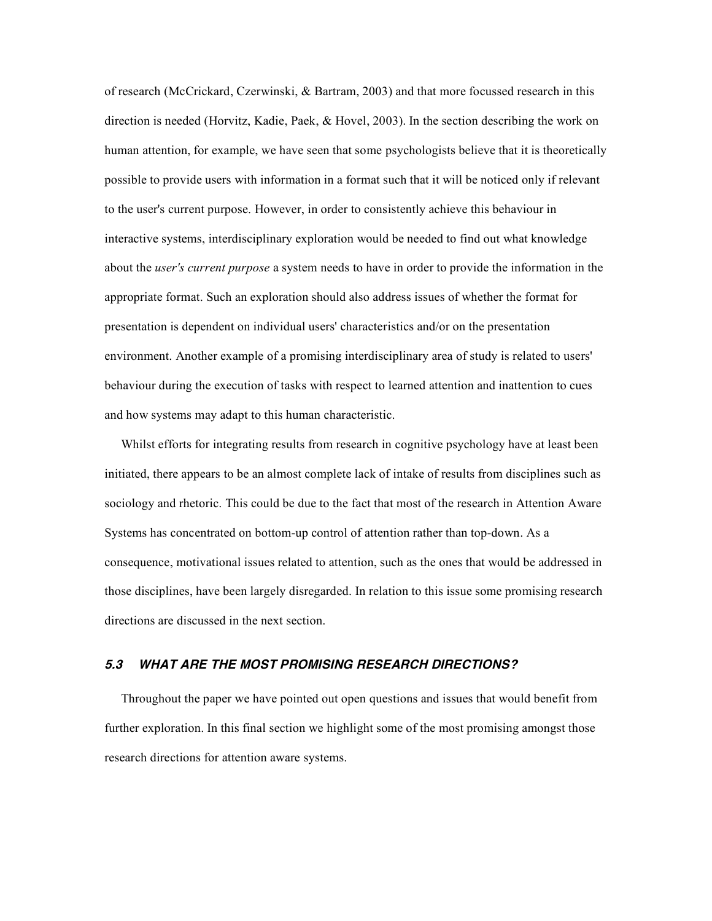of research (McCrickard, Czerwinski, & Bartram, 2003) and that more focussed research in this direction is needed (Horvitz, Kadie, Paek, & Hovel, 2003). In the section describing the work on human attention, for example, we have seen that some psychologists believe that it is theoretically possible to provide users with information in a format such that it will be noticed only if relevant to the user's current purpose. However, in order to consistently achieve this behaviour in interactive systems, interdisciplinary exploration would be needed to find out what knowledge about the *user's current purpose* a system needs to have in order to provide the information in the appropriate format. Such an exploration should also address issues of whether the format for presentation is dependent on individual users' characteristics and/or on the presentation environment. Another example of a promising interdisciplinary area of study is related to users' behaviour during the execution of tasks with respect to learned attention and inattention to cues and how systems may adapt to this human characteristic.

Whilst efforts for integrating results from research in cognitive psychology have at least been initiated, there appears to be an almost complete lack of intake of results from disciplines such as sociology and rhetoric. This could be due to the fact that most of the research in Attention Aware Systems has concentrated on bottom-up control of attention rather than top-down. As a consequence, motivational issues related to attention, such as the ones that would be addressed in those disciplines, have been largely disregarded. In relation to this issue some promising research directions are discussed in the next section.

# **5.3 WHAT ARE THE MOST PROMISING RESEARCH DIRECTIONS?**

Throughout the paper we have pointed out open questions and issues that would benefit from further exploration. In this final section we highlight some of the most promising amongst those research directions for attention aware systems.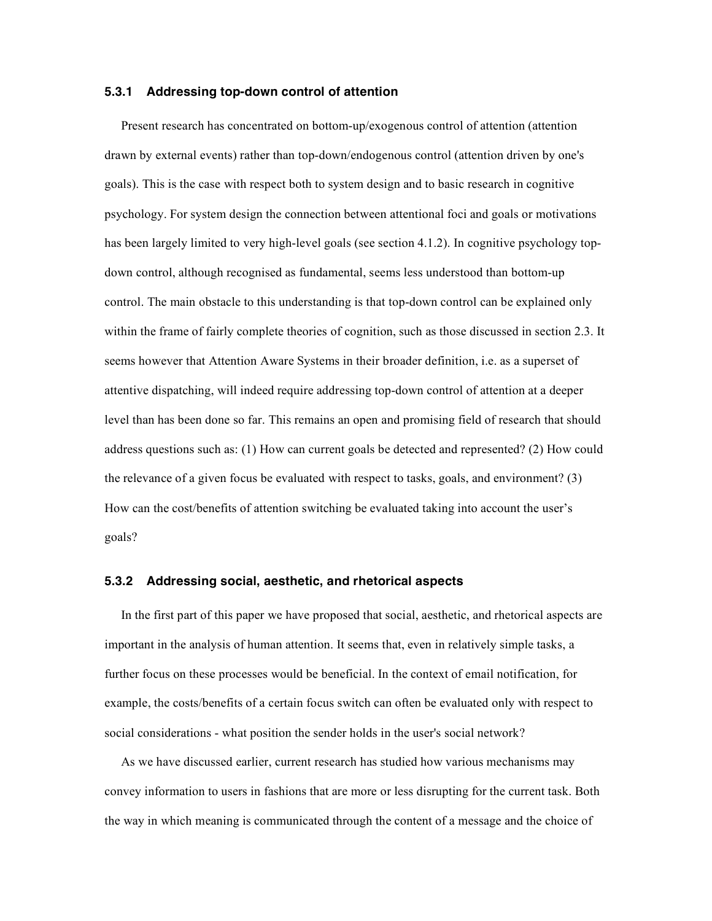#### **5.3.1 Addressing top-down control of attention**

Present research has concentrated on bottom-up/exogenous control of attention (attention drawn by external events) rather than top-down/endogenous control (attention driven by one's goals). This is the case with respect both to system design and to basic research in cognitive psychology. For system design the connection between attentional foci and goals or motivations has been largely limited to very high-level goals (see section 4.1.2). In cognitive psychology topdown control, although recognised as fundamental, seems less understood than bottom-up control. The main obstacle to this understanding is that top-down control can be explained only within the frame of fairly complete theories of cognition, such as those discussed in section 2.3. It seems however that Attention Aware Systems in their broader definition, i.e. as a superset of attentive dispatching, will indeed require addressing top-down control of attention at a deeper level than has been done so far. This remains an open and promising field of research that should address questions such as: (1) How can current goals be detected and represented? (2) How could the relevance of a given focus be evaluated with respect to tasks, goals, and environment? (3) How can the cost/benefits of attention switching be evaluated taking into account the user's goals?

#### **5.3.2 Addressing social, aesthetic, and rhetorical aspects**

In the first part of this paper we have proposed that social, aesthetic, and rhetorical aspects are important in the analysis of human attention. It seems that, even in relatively simple tasks, a further focus on these processes would be beneficial. In the context of email notification, for example, the costs/benefits of a certain focus switch can often be evaluated only with respect to social considerations - what position the sender holds in the user's social network?

As we have discussed earlier, current research has studied how various mechanisms may convey information to users in fashions that are more or less disrupting for the current task. Both the way in which meaning is communicated through the content of a message and the choice of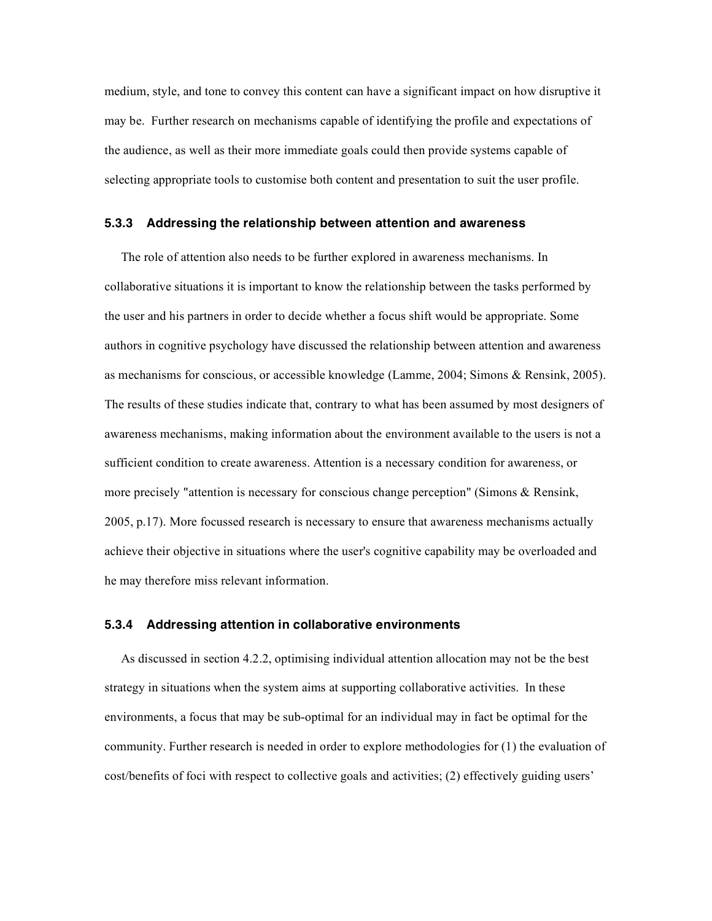medium, style, and tone to convey this content can have a significant impact on how disruptive it may be. Further research on mechanisms capable of identifying the profile and expectations of the audience, as well as their more immediate goals could then provide systems capable of selecting appropriate tools to customise both content and presentation to suit the user profile.

#### **5.3.3 Addressing the relationship between attention and awareness**

The role of attention also needs to be further explored in awareness mechanisms. In collaborative situations it is important to know the relationship between the tasks performed by the user and his partners in order to decide whether a focus shift would be appropriate. Some authors in cognitive psychology have discussed the relationship between attention and awareness as mechanisms for conscious, or accessible knowledge (Lamme, 2004; Simons & Rensink, 2005). The results of these studies indicate that, contrary to what has been assumed by most designers of awareness mechanisms, making information about the environment available to the users is not a sufficient condition to create awareness. Attention is a necessary condition for awareness, or more precisely "attention is necessary for conscious change perception" (Simons & Rensink, 2005, p.17). More focussed research is necessary to ensure that awareness mechanisms actually achieve their objective in situations where the user's cognitive capability may be overloaded and he may therefore miss relevant information.

#### **5.3.4 Addressing attention in collaborative environments**

As discussed in section 4.2.2, optimising individual attention allocation may not be the best strategy in situations when the system aims at supporting collaborative activities. In these environments, a focus that may be sub-optimal for an individual may in fact be optimal for the community. Further research is needed in order to explore methodologies for (1) the evaluation of cost/benefits of foci with respect to collective goals and activities; (2) effectively guiding users'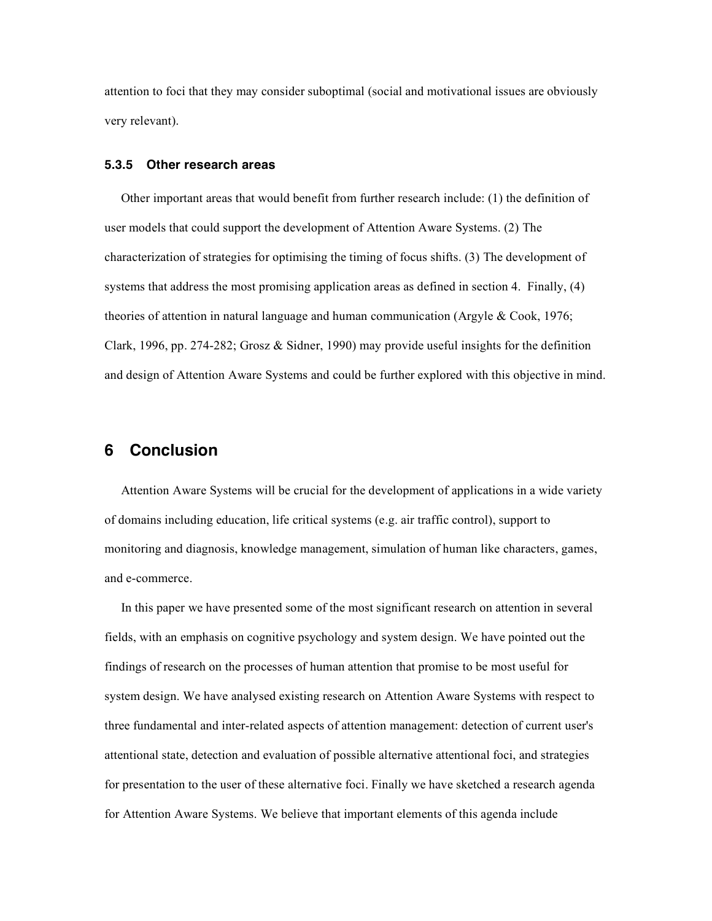attention to foci that they may consider suboptimal (social and motivational issues are obviously very relevant).

#### **5.3.5 Other research areas**

Other important areas that would benefit from further research include: (1) the definition of user models that could support the development of Attention Aware Systems. (2) The characterization of strategies for optimising the timing of focus shifts. (3) The development of systems that address the most promising application areas as defined in section 4. Finally, (4) theories of attention in natural language and human communication (Argyle  $& \text{Cook}$ , 1976; Clark, 1996, pp. 274-282; Grosz & Sidner, 1990) may provide useful insights for the definition and design of Attention Aware Systems and could be further explored with this objective in mind.

# **6 Conclusion**

Attention Aware Systems will be crucial for the development of applications in a wide variety of domains including education, life critical systems (e.g. air traffic control), support to monitoring and diagnosis, knowledge management, simulation of human like characters, games, and e-commerce.

In this paper we have presented some of the most significant research on attention in several fields, with an emphasis on cognitive psychology and system design. We have pointed out the findings of research on the processes of human attention that promise to be most useful for system design. We have analysed existing research on Attention Aware Systems with respect to three fundamental and inter-related aspects of attention management: detection of current user's attentional state, detection and evaluation of possible alternative attentional foci, and strategies for presentation to the user of these alternative foci. Finally we have sketched a research agenda for Attention Aware Systems. We believe that important elements of this agenda include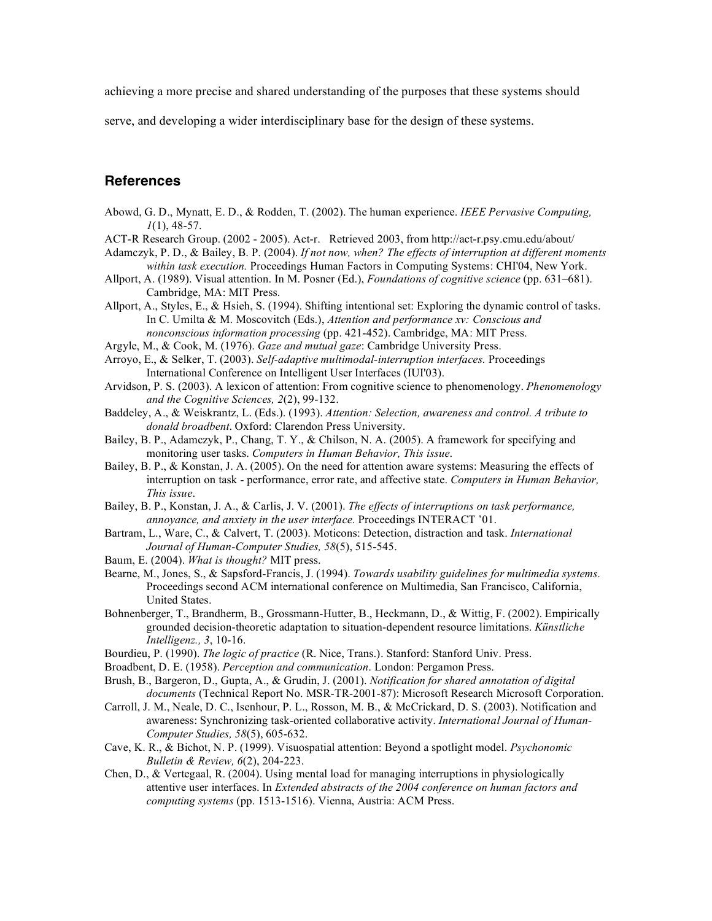achieving a more precise and shared understanding of the purposes that these systems should

serve, and developing a wider interdisciplinary base for the design of these systems.

# **References**

- Abowd, G. D., Mynatt, E. D., & Rodden, T. (2002). The human experience. *IEEE Pervasive Computing, 1*(1), 48-57.
- ACT-R Research Group. (2002 2005). Act-r. Retrieved 2003, from http://act-r.psy.cmu.edu/about/
- Adamczyk, P. D., & Bailey, B. P. (2004). *If not now, when? The effects of interruption at different moments within task execution.* Proceedings Human Factors in Computing Systems: CHI'04, New York.
- Allport, A. (1989). Visual attention. In M. Posner (Ed.), *Foundations of cognitive science* (pp. 631–681). Cambridge, MA: MIT Press.
- Allport, A., Styles, E., & Hsieh, S. (1994). Shifting intentional set: Exploring the dynamic control of tasks. In C. Umilta & M. Moscovitch (Eds.), *Attention and performance xv: Conscious and nonconscious information processing* (pp. 421-452). Cambridge, MA: MIT Press.
- Argyle, M., & Cook, M. (1976). *Gaze and mutual gaze*: Cambridge University Press.
- Arroyo, E., & Selker, T. (2003). *Self-adaptive multimodal-interruption interfaces.* Proceedings International Conference on Intelligent User Interfaces (IUI'03).
- Arvidson, P. S. (2003). A lexicon of attention: From cognitive science to phenomenology. *Phenomenology and the Cognitive Sciences, 2*(2), 99-132.
- Baddeley, A., & Weiskrantz, L. (Eds.). (1993). *Attention: Selection, awareness and control. A tribute to donald broadbent*. Oxford: Clarendon Press University.
- Bailey, B. P., Adamczyk, P., Chang, T. Y., & Chilson, N. A. (2005). A framework for specifying and monitoring user tasks. *Computers in Human Behavior, This issue*.
- Bailey, B. P., & Konstan, J. A. (2005). On the need for attention aware systems: Measuring the effects of interruption on task - performance, error rate, and affective state. *Computers in Human Behavior, This issue*.
- Bailey, B. P., Konstan, J. A., & Carlis, J. V. (2001). *The effects of interruptions on task performance, annoyance, and anxiety in the user interface.* Proceedings INTERACT '01.
- Bartram, L., Ware, C., & Calvert, T. (2003). Moticons: Detection, distraction and task. *International Journal of Human-Computer Studies, 58*(5), 515-545.
- Baum, E. (2004). *What is thought?* MIT press.
- Bearne, M., Jones, S., & Sapsford-Francis, J. (1994). *Towards usability guidelines for multimedia systems.* Proceedings second ACM international conference on Multimedia, San Francisco, California, United States.
- Bohnenberger, T., Brandherm, B., Grossmann-Hutter, B., Heckmann, D., & Wittig, F. (2002). Empirically grounded decision-theoretic adaptation to situation-dependent resource limitations. *Künstliche Intelligenz., 3*, 10-16.
- Bourdieu, P. (1990). *The logic of practice* (R. Nice, Trans.). Stanford: Stanford Univ. Press.
- Broadbent, D. E. (1958). *Perception and communication*. London: Pergamon Press.
- Brush, B., Bargeron, D., Gupta, A., & Grudin, J. (2001). *Notification for shared annotation of digital documents* (Technical Report No. MSR-TR-2001-87): Microsoft Research Microsoft Corporation.
- Carroll, J. M., Neale, D. C., Isenhour, P. L., Rosson, M. B., & McCrickard, D. S. (2003). Notification and awareness: Synchronizing task-oriented collaborative activity. *International Journal of Human-Computer Studies, 58*(5), 605-632.
- Cave, K. R., & Bichot, N. P. (1999). Visuospatial attention: Beyond a spotlight model. *Psychonomic Bulletin & Review, 6*(2), 204-223.
- Chen, D., & Vertegaal, R. (2004). Using mental load for managing interruptions in physiologically attentive user interfaces. In *Extended abstracts of the 2004 conference on human factors and computing systems* (pp. 1513-1516). Vienna, Austria: ACM Press.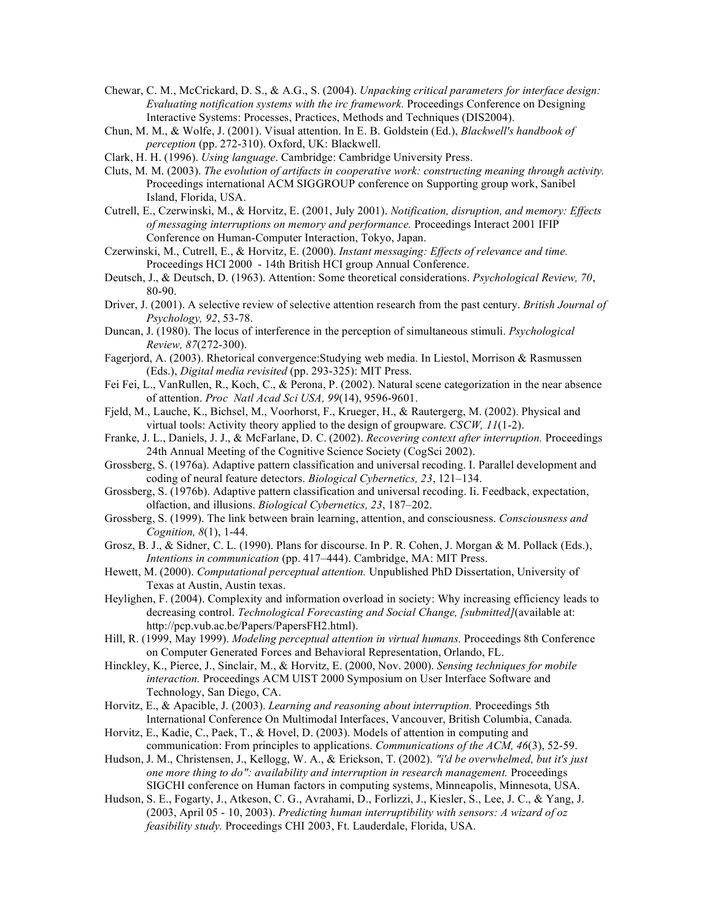- Chewar, C. M., McCrickard, D. S., & A.G., S. (2004). *Unpacking critical parameters for interface design: Evaluating notification systems with the irc framework.* Proceedings Conference on Designing Interactive Systems: Processes, Practices, Methods and Techniques (DIS2004).
- Chun, M. M., & Wolfe, J. (2001). Visual attention. In E. B. Goldstein (Ed.), *Blackwell's handbook of perception* (pp. 272-310). Oxford, UK: Blackwell.
- Clark, H. H. (1996). *Using language*. Cambridge: Cambridge University Press.
- Cluts, M. M. (2003). *The evolution of artifacts in cooperative work: constructing meaning through activity.* Proceedings international ACM SIGGROUP conference on Supporting group work, Sanibel Island, Florida, USA.
- Cutrell, E., Czerwinski, M., & Horvitz, E. (2001, July 2001). *Notification, disruption, and memory: Effects of messaging interruptions on memory and performance.* Proceedings Interact 2001 IFIP Conference on Human-Computer Interaction, Tokyo, Japan.
- Czerwinski, M., Cutrell, E., & Horvitz, E. (2000). *Instant messaging: Effects of relevance and time.* Proceedings HCI 2000 - 14th British HCI group Annual Conference.
- Deutsch, J., & Deutsch, D. (1963). Attention: Some theoretical considerations. *Psychological Review, 70*, 80-90.
- Driver, J. (2001). A selective review of selective attention research from the past century. *British Journal of Psychology, 92*, 53-78.
- Duncan, J. (1980). The locus of interference in the perception of simultaneous stimuli. *Psychological Review, 87*(272-300).
- Fagerjord, A. (2003). Rhetorical convergence:Studying web media. In Liestol, Morrison & Rasmussen (Eds.), *Digital media revisited* (pp. 293-325): MIT Press.
- Fei Fei, L., VanRullen, R., Koch, C., & Perona, P. (2002). Natural scene categorization in the near absence of attention. *Proc Natl Acad Sci USA, 99*(14), 9596-9601.
- Fjeld, M., Lauche, K., Bichsel, M., Voorhorst, F., Krueger, H., & Rautergerg, M. (2002). Physical and virtual tools: Activity theory applied to the design of groupware. *CSCW, 11*(1-2).
- Franke, J. L., Daniels, J. J., & McFarlane, D. C. (2002). *Recovering context after interruption.* Proceedings 24th Annual Meeting of the Cognitive Science Society (CogSci 2002).
- Grossberg, S. (1976a). Adaptive pattern classification and universal recoding. I. Parallel development and coding of neural feature detectors. *Biological Cybernetics, 23*, 121–134.
- Grossberg, S. (1976b). Adaptive pattern classification and universal recoding. Ii. Feedback, expectation, olfaction, and illusions. *Biological Cybernetics, 23*, 187–202.
- Grossberg, S. (1999). The link between brain learning, attention, and consciousness. *Consciousness and Cognition, 8*(1), 1-44.
- Grosz, B. J., & Sidner, C. L. (1990). Plans for discourse. In P. R. Cohen, J. Morgan & M. Pollack (Eds.), *Intentions in communication* (pp. 417–444). Cambridge, MA: MIT Press.
- Hewett, M. (2000). *Computational perceptual attention.* Unpublished PhD Dissertation, University of Texas at Austin, Austin texas.
- Heylighen, F. (2004). Complexity and information overload in society: Why increasing efficiency leads to decreasing control. *Technological Forecasting and Social Change, [submitted]*(available at: http://pcp.vub.ac.be/Papers/PapersFH2.html).
- Hill, R. (1999, May 1999). *Modeling perceptual attention in virtual humans.* Proceedings 8th Conference on Computer Generated Forces and Behavioral Representation, Orlando, FL.
- Hinckley, K., Pierce, J., Sinclair, M., & Horvitz, E. (2000, Nov. 2000). *Sensing techniques for mobile interaction.* Proceedings ACM UIST 2000 Symposium on User Interface Software and Technology, San Diego, CA.
- Horvitz, E., & Apacible, J. (2003). *Learning and reasoning about interruption.* Proceedings 5th International Conference On Multimodal Interfaces, Vancouver, British Columbia, Canada.
- Horvitz, E., Kadie, C., Paek, T., & Hovel, D. (2003). Models of attention in computing and communication: From principles to applications. *Communications of the ACM, 46*(3), 52-59.
- Hudson, J. M., Christensen, J., Kellogg, W. A., & Erickson, T. (2002). *"i'd be overwhelmed, but it's just one more thing to do": availability and interruption in research management.* Proceedings SIGCHI conference on Human factors in computing systems, Minneapolis, Minnesota, USA.
- Hudson, S. E., Fogarty, J., Atkeson, C. G., Avrahami, D., Forlizzi, J., Kiesler, S., Lee, J. C., & Yang, J. (2003, April 05 - 10, 2003). *Predicting human interruptibility with sensors: A wizard of oz feasibility study.* Proceedings CHI 2003, Ft. Lauderdale, Florida, USA.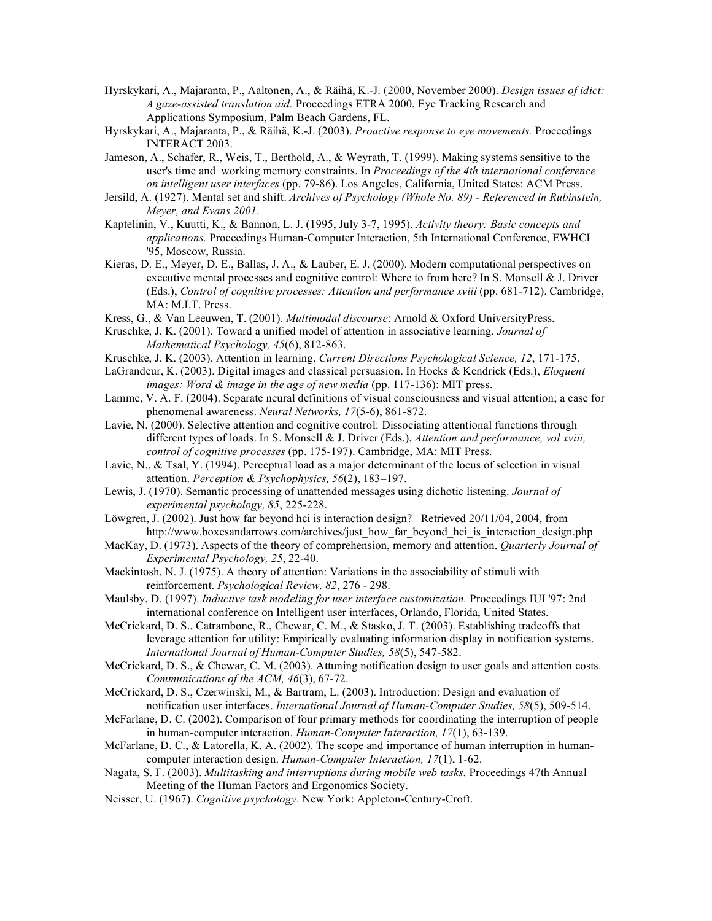- Hyrskykari, A., Majaranta, P., Aaltonen, A., & Räihä, K.-J. (2000, November 2000). *Design issues of idict: A gaze-assisted translation aid.* Proceedings ETRA 2000, Eye Tracking Research and Applications Symposium, Palm Beach Gardens, FL.
- Hyrskykari, A., Majaranta, P., & Räihä, K.-J. (2003). *Proactive response to eye movements.* Proceedings INTERACT 2003.
- Jameson, A., Schafer, R., Weis, T., Berthold, A., & Weyrath, T. (1999). Making systems sensitive to the user's time and working memory constraints. In *Proceedings of the 4th international conference on intelligent user interfaces* (pp. 79-86). Los Angeles, California, United States: ACM Press.
- Jersild, A. (1927). Mental set and shift. *Archives of Psychology (Whole No. 89) - Referenced in Rubinstein, Meyer, and Evans 2001*.
- Kaptelinin, V., Kuutti, K., & Bannon, L. J. (1995, July 3-7, 1995). *Activity theory: Basic concepts and applications.* Proceedings Human-Computer Interaction, 5th International Conference, EWHCI '95, Moscow, Russia.
- Kieras, D. E., Meyer, D. E., Ballas, J. A., & Lauber, E. J. (2000). Modern computational perspectives on executive mental processes and cognitive control: Where to from here? In S. Monsell & J. Driver (Eds.), *Control of cognitive processes: Attention and performance xviii* (pp. 681-712). Cambridge, MA: M.I.T. Press.
- Kress, G., & Van Leeuwen, T. (2001). *Multimodal discourse*: Arnold & Oxford UniversityPress.
- Kruschke, J. K. (2001). Toward a unified model of attention in associative learning. *Journal of Mathematical Psychology, 45*(6), 812-863.
- Kruschke, J. K. (2003). Attention in learning. *Current Directions Psychological Science, 12*, 171-175.
- LaGrandeur, K. (2003). Digital images and classical persuasion. In Hocks & Kendrick (Eds.), *Eloquent images: Word & image in the age of new media* (pp. 117-136): MIT press.
- Lamme, V. A. F. (2004). Separate neural definitions of visual consciousness and visual attention; a case for phenomenal awareness. *Neural Networks, 17*(5-6), 861-872.
- Lavie, N. (2000). Selective attention and cognitive control: Dissociating attentional functions through different types of loads. In S. Monsell & J. Driver (Eds.), *Attention and performance, vol xviii, control of cognitive processes* (pp. 175-197). Cambridge, MA: MIT Press.
- Lavie, N., & Tsal, Y. (1994). Perceptual load as a major determinant of the locus of selection in visual attention. *Perception & Psychophysics, 56*(2), 183–197.
- Lewis, J. (1970). Semantic processing of unattended messages using dichotic listening. *Journal of experimental psychology, 85*, 225-228.
- Löwgren, J. (2002). Just how far beyond hci is interaction design? Retrieved 20/11/04, 2004, from http://www.boxesandarrows.com/archives/just\_how\_far\_beyond\_hci\_is\_interaction\_design.php
- MacKay, D. (1973). Aspects of the theory of comprehension, memory and attention. *Quarterly Journal of Experimental Psychology, 25*, 22-40.
- Mackintosh, N. J. (1975). A theory of attention: Variations in the associability of stimuli with reinforcement. *Psychological Review, 82*, 276 - 298.
- Maulsby, D. (1997). *Inductive task modeling for user interface customization.* Proceedings IUI '97: 2nd international conference on Intelligent user interfaces, Orlando, Florida, United States.
- McCrickard, D. S., Catrambone, R., Chewar, C. M., & Stasko, J. T. (2003). Establishing tradeoffs that leverage attention for utility: Empirically evaluating information display in notification systems. *International Journal of Human-Computer Studies, 58*(5), 547-582.
- McCrickard, D. S., & Chewar, C. M. (2003). Attuning notification design to user goals and attention costs. *Communications of the ACM, 46*(3), 67-72.
- McCrickard, D. S., Czerwinski, M., & Bartram, L. (2003). Introduction: Design and evaluation of notification user interfaces. *International Journal of Human-Computer Studies, 58*(5), 509-514.
- McFarlane, D. C. (2002). Comparison of four primary methods for coordinating the interruption of people in human-computer interaction. *Human-Computer Interaction, 17*(1), 63-139.
- McFarlane, D. C., & Latorella, K. A. (2002). The scope and importance of human interruption in humancomputer interaction design. *Human-Computer Interaction, 17*(1), 1-62.
- Nagata, S. F. (2003). *Multitasking and interruptions during mobile web tasks.* Proceedings 47th Annual Meeting of the Human Factors and Ergonomics Society.
- Neisser, U. (1967). *Cognitive psychology*. New York: Appleton-Century-Croft.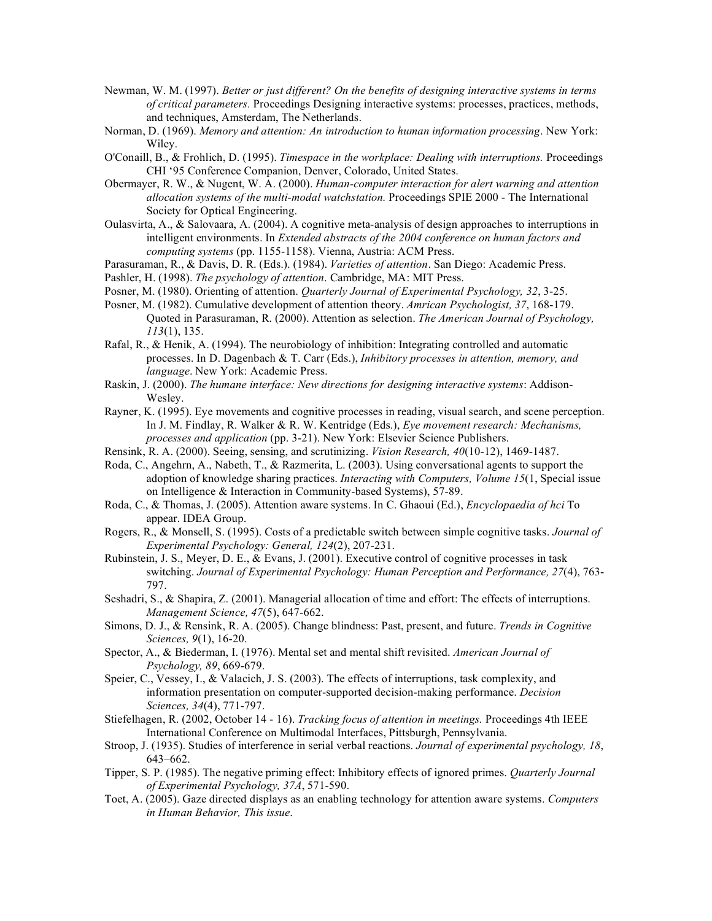- Newman, W. M. (1997). *Better or just different? On the benefits of designing interactive systems in terms of critical parameters.* Proceedings Designing interactive systems: processes, practices, methods, and techniques, Amsterdam, The Netherlands.
- Norman, D. (1969). *Memory and attention: An introduction to human information processing*. New York: Wiley.
- O'Conaill, B., & Frohlich, D. (1995). *Timespace in the workplace: Dealing with interruptions.* Proceedings CHI '95 Conference Companion, Denver, Colorado, United States.
- Obermayer, R. W., & Nugent, W. A. (2000). *Human-computer interaction for alert warning and attention allocation systems of the multi-modal watchstation.* Proceedings SPIE 2000 - The International Society for Optical Engineering.
- Oulasvirta, A., & Salovaara, A. (2004). A cognitive meta-analysis of design approaches to interruptions in intelligent environments. In *Extended abstracts of the 2004 conference on human factors and computing systems* (pp. 1155-1158). Vienna, Austria: ACM Press.
- Parasuraman, R., & Davis, D. R. (Eds.). (1984). *Varieties of attention*. San Diego: Academic Press.
- Pashler, H. (1998). *The psychology of attention*. Cambridge, MA: MIT Press.
- Posner, M. (1980). Orienting of attention. *Quarterly Journal of Experimental Psychology, 32*, 3-25.
- Posner, M. (1982). Cumulative development of attention theory. *Amrican Psychologist, 37*, 168-179. Quoted in Parasuraman, R. (2000). Attention as selection. *The American Journal of Psychology, 113*(1), 135.
- Rafal, R., & Henik, A. (1994). The neurobiology of inhibition: Integrating controlled and automatic processes. In D. Dagenbach & T. Carr (Eds.), *Inhibitory processes in attention, memory, and language*. New York: Academic Press.
- Raskin, J. (2000). *The humane interface: New directions for designing interactive systems*: Addison-Wesley.
- Rayner, K. (1995). Eye movements and cognitive processes in reading, visual search, and scene perception. In J. M. Findlay, R. Walker & R. W. Kentridge (Eds.), *Eye movement research: Mechanisms, processes and application* (pp. 3-21). New York: Elsevier Science Publishers.
- Rensink, R. A. (2000). Seeing, sensing, and scrutinizing. *Vision Research, 40*(10-12), 1469-1487.
- Roda, C., Angehrn, A., Nabeth, T., & Razmerita, L. (2003). Using conversational agents to support the adoption of knowledge sharing practices. *Interacting with Computers, Volume 15*(1, Special issue on Intelligence & Interaction in Community-based Systems), 57-89.
- Roda, C., & Thomas, J. (2005). Attention aware systems. In C. Ghaoui (Ed.), *Encyclopaedia of hci* To appear. IDEA Group.
- Rogers, R., & Monsell, S. (1995). Costs of a predictable switch between simple cognitive tasks. *Journal of Experimental Psychology: General, 124*(2), 207-231.
- Rubinstein, J. S., Meyer, D. E., & Evans, J. (2001). Executive control of cognitive processes in task switching. *Journal of Experimental Psychology: Human Perception and Performance, 27*(4), 763- 797.
- Seshadri, S., & Shapira, Z. (2001). Managerial allocation of time and effort: The effects of interruptions. *Management Science, 47*(5), 647-662.
- Simons, D. J., & Rensink, R. A. (2005). Change blindness: Past, present, and future. *Trends in Cognitive Sciences, 9*(1), 16-20.
- Spector, A., & Biederman, I. (1976). Mental set and mental shift revisited. *American Journal of Psychology, 89*, 669-679.
- Speier, C., Vessey, I., & Valacich, J. S. (2003). The effects of interruptions, task complexity, and information presentation on computer-supported decision-making performance. *Decision Sciences, 34*(4), 771-797.
- Stiefelhagen, R. (2002, October 14 16). *Tracking focus of attention in meetings.* Proceedings 4th IEEE International Conference on Multimodal Interfaces, Pittsburgh, Pennsylvania.
- Stroop, J. (1935). Studies of interference in serial verbal reactions. *Journal of experimental psychology, 18*, 643–662.
- Tipper, S. P. (1985). The negative priming effect: Inhibitory effects of ignored primes. *Quarterly Journal of Experimental Psychology, 37A*, 571-590.
- Toet, A. (2005). Gaze directed displays as an enabling technology for attention aware systems. *Computers in Human Behavior, This issue*.